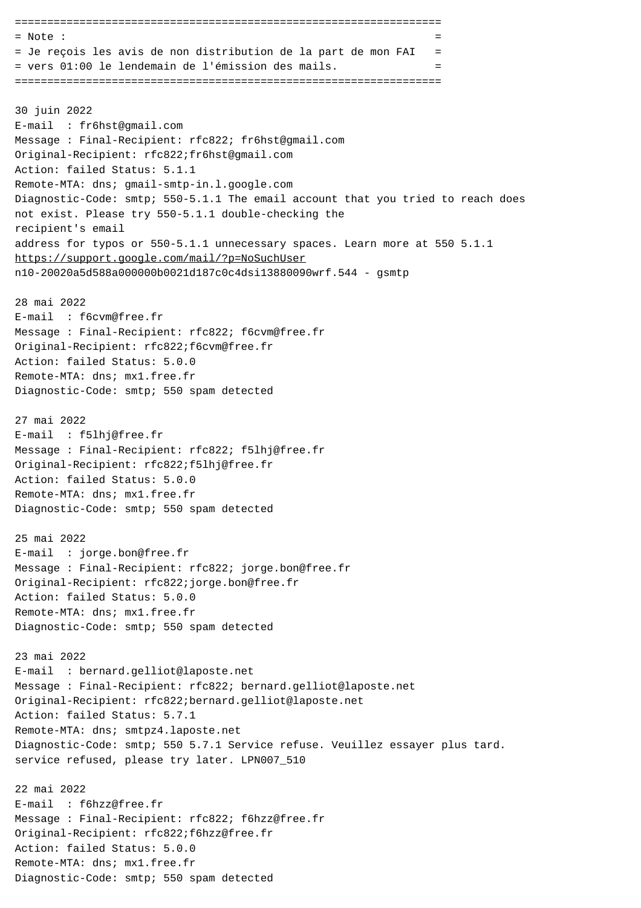==================================================================  $=$  Note :  $=$ = Je reçois les avis de non distribution de la part de mon FAI = = vers 01:00 le lendemain de l'émission des mails. = ================================================================== 30 juin 2022 E-mail : fr6hst@gmail.com Message : Final-Recipient: rfc822; fr6hst@gmail.com Original-Recipient: rfc822;fr6hst@gmail.com Action: failed Status: 5.1.1 Remote-MTA: dns; gmail-smtp-in.l.google.com Diagnostic-Code: smtp; 550-5.1.1 The email account that you tried to reach does not exist. Please try 550-5.1.1 double-checking the recipient's email address for typos or 550-5.1.1 unnecessary spaces. Learn more at 550 5.1.1 https://support.google.com/mail/?p=NoSuchUser n10-20020a5d588a000000b0021d187c0c4dsi13880090wrf.544 - gsmtp 28 mai 2022 E-mail : f6cvm@free.fr Message : Final-Recipient: rfc822; f6cvm@free.fr Original-Recipient: rfc822;f6cvm@free.fr Action: failed Status: 5.0.0 Remote-MTA: dns; mx1.free.fr Diagnostic-Code: smtp; 550 spam detected 27 mai 2022 E-mail : f5lhj@free.fr Message : Final-Recipient: rfc822; f5lhj@free.fr Original-Recipient: rfc822;f5lhj@free.fr Action: failed Status: 5.0.0 Remote-MTA: dns; mx1.free.fr Diagnostic-Code: smtp; 550 spam detected 25 mai 2022 E-mail : jorge.bon@free.fr Message : Final-Recipient: rfc822; jorge.bon@free.fr Original-Recipient: rfc822;jorge.bon@free.fr Action: failed Status: 5.0.0 Remote-MTA: dns; mx1.free.fr Diagnostic-Code: smtp; 550 spam detected 23 mai 2022 E-mail : bernard.gelliot@laposte.net Message : Final-Recipient: rfc822; bernard.gelliot@laposte.net Original-Recipient: rfc822;bernard.gelliot@laposte.net Action: failed Status: 5.7.1 Remote-MTA: dns; smtpz4.laposte.net Diagnostic-Code: smtp; 550 5.7.1 Service refuse. Veuillez essayer plus tard. service refused, please try later. LPN007\_510 22 mai 2022 E-mail : f6hzz@free.fr Message : Final-Recipient: rfc822; f6hzz@free.fr Original-Recipient: rfc822;f6hzz@free.fr Action: failed Status: 5.0.0 Remote-MTA: dns; mx1.free.fr Diagnostic-Code: smtp; 550 spam detected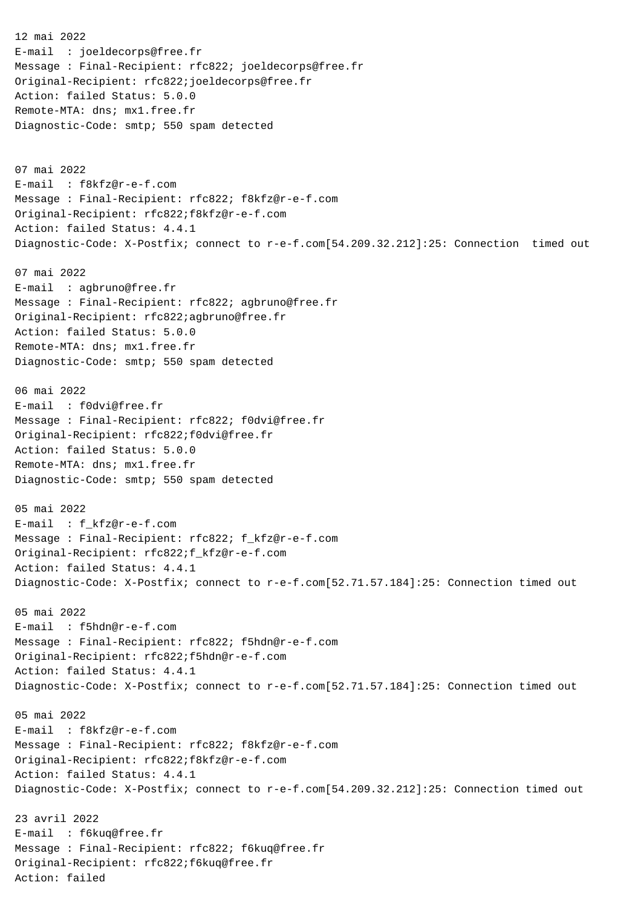12 mai 2022 E-mail : joeldecorps@free.fr Message : Final-Recipient: rfc822; joeldecorps@free.fr Original-Recipient: rfc822;joeldecorps@free.fr Action: failed Status: 5.0.0 Remote-MTA: dns; mx1.free.fr Diagnostic-Code: smtp; 550 spam detected 07 mai 2022 E-mail : f8kfz@r-e-f.com Message : Final-Recipient: rfc822; f8kfz@r-e-f.com Original-Recipient: rfc822;f8kfz@r-e-f.com Action: failed Status: 4.4.1 Diagnostic-Code: X-Postfix; connect to r-e-f.com[54.209.32.212]:25: Connection timed out 07 mai 2022 E-mail : agbruno@free.fr Message : Final-Recipient: rfc822; agbruno@free.fr Original-Recipient: rfc822;agbruno@free.fr Action: failed Status: 5.0.0 Remote-MTA: dns; mx1.free.fr Diagnostic-Code: smtp; 550 spam detected 06 mai 2022 E-mail : f0dvi@free.fr Message : Final-Recipient: rfc822; f0dvi@free.fr Original-Recipient: rfc822;f0dvi@free.fr Action: failed Status: 5.0.0 Remote-MTA: dns; mx1.free.fr Diagnostic-Code: smtp; 550 spam detected 05 mai 2022 E-mail : f\_kfz@r-e-f.com Message : Final-Recipient: rfc822; f kfz@r-e-f.com Original-Recipient: rfc822;f\_kfz@r-e-f.com Action: failed Status: 4.4.1 Diagnostic-Code: X-Postfix; connect to r-e-f.com[52.71.57.184]:25: Connection timed out 05 mai 2022 E-mail : f5hdn@r-e-f.com Message : Final-Recipient: rfc822; f5hdn@r-e-f.com Original-Recipient: rfc822;f5hdn@r-e-f.com Action: failed Status: 4.4.1 Diagnostic-Code: X-Postfix; connect to r-e-f.com[52.71.57.184]:25: Connection timed out 05 mai 2022 E-mail : f8kfz@r-e-f.com Message : Final-Recipient: rfc822; f8kfz@r-e-f.com Original-Recipient: rfc822;f8kfz@r-e-f.com Action: failed Status: 4.4.1 Diagnostic-Code: X-Postfix; connect to r-e-f.com[54.209.32.212]:25: Connection timed out 23 avril 2022 E-mail : f6kuq@free.fr Message : Final-Recipient: rfc822; f6kuq@free.fr Original-Recipient: rfc822;f6kuq@free.fr Action: failed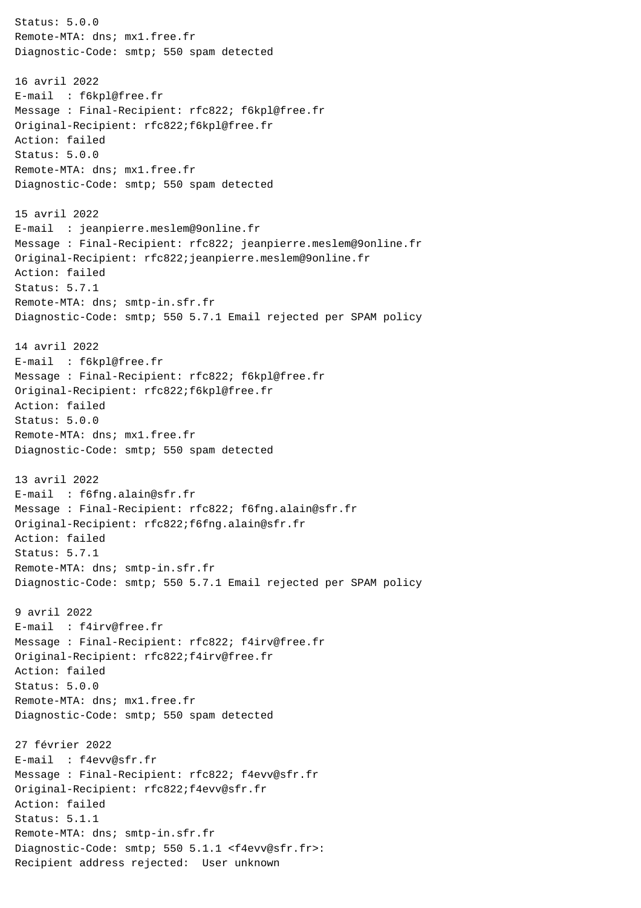Status: 5.0.0 Remote-MTA: dns; mx1.free.fr Diagnostic-Code: smtp; 550 spam detected 16 avril 2022 E-mail : f6kpl@free.fr Message : Final-Recipient: rfc822; f6kpl@free.fr Original-Recipient: rfc822;f6kpl@free.fr Action: failed Status: 5.0.0 Remote-MTA: dns; mx1.free.fr Diagnostic-Code: smtp; 550 spam detected 15 avril 2022 E-mail : jeanpierre.meslem@9online.fr Message : Final-Recipient: rfc822; jeanpierre.meslem@9online.fr Original-Recipient: rfc822;jeanpierre.meslem@9online.fr Action: failed Status: 5.7.1 Remote-MTA: dns; smtp-in.sfr.fr Diagnostic-Code: smtp; 550 5.7.1 Email rejected per SPAM policy 14 avril 2022 E-mail : f6kpl@free.fr Message : Final-Recipient: rfc822; f6kpl@free.fr Original-Recipient: rfc822;f6kpl@free.fr Action: failed Status: 5.0.0 Remote-MTA: dns; mx1.free.fr Diagnostic-Code: smtp; 550 spam detected 13 avril 2022 E-mail : f6fng.alain@sfr.fr Message : Final-Recipient: rfc822; f6fng.alain@sfr.fr Original-Recipient: rfc822;f6fng.alain@sfr.fr Action: failed Status: 5.7.1 Remote-MTA: dns; smtp-in.sfr.fr Diagnostic-Code: smtp; 550 5.7.1 Email rejected per SPAM policy 9 avril 2022 E-mail : f4irv@free.fr Message : Final-Recipient: rfc822; f4irv@free.fr Original-Recipient: rfc822;f4irv@free.fr Action: failed Status: 5.0.0 Remote-MTA: dns; mx1.free.fr Diagnostic-Code: smtp; 550 spam detected 27 février 2022 E-mail : f4evv@sfr.fr Message : Final-Recipient: rfc822; f4evv@sfr.fr Original-Recipient: rfc822;f4evv@sfr.fr Action: failed Status: 5.1.1 Remote-MTA: dns; smtp-in.sfr.fr Diagnostic-Code: smtp; 550 5.1.1 <f4evv@sfr.fr>: Recipient address rejected: User unknown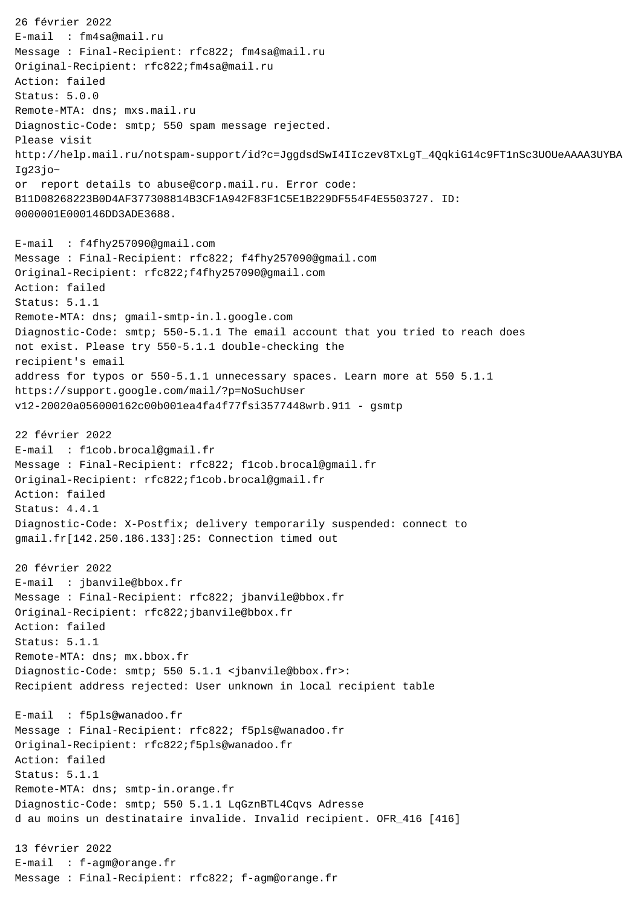26 février 2022 E-mail : fm4sa@mail.ru Message : Final-Recipient: rfc822; fm4sa@mail.ru Original-Recipient: rfc822;fm4sa@mail.ru Action: failed Status: 5.0.0 Remote-MTA: dns; mxs.mail.ru Diagnostic-Code: smtp; 550 spam message rejected. Please visit http://help.mail.ru/notspam-support/id?c=JggdsdSwI4IIczev8TxLgT\_4QqkiG14c9FT1nSc3UOUeAAAA3UYBA Iq23 $j$ o~ or report details to abuse@corp.mail.ru. Error code: B11D08268223B0D4AF377308814B3CF1A942F83F1C5E1B229DF554F4E5503727. ID: 0000001E000146DD3ADE3688. E-mail : f4fhy257090@gmail.com Message : Final-Recipient: rfc822; f4fhy257090@gmail.com Original-Recipient: rfc822;f4fhy257090@gmail.com Action: failed Status: 5.1.1 Remote-MTA: dns; gmail-smtp-in.l.google.com Diagnostic-Code: smtp; 550-5.1.1 The email account that you tried to reach does not exist. Please try 550-5.1.1 double-checking the recipient's email address for typos or 550-5.1.1 unnecessary spaces. Learn more at 550 5.1.1 https://support.google.com/mail/?p=NoSuchUser v12-20020a056000162c00b001ea4fa4f77fsi3577448wrb.911 - gsmtp 22 février 2022 E-mail : f1cob.brocal@gmail.fr Message : Final-Recipient: rfc822; f1cob.brocal@gmail.fr Original-Recipient: rfc822;f1cob.brocal@gmail.fr Action: failed Status: 4.4.1 Diagnostic-Code: X-Postfix; delivery temporarily suspended: connect to gmail.fr[142.250.186.133]:25: Connection timed out 20 février 2022 E-mail : jbanvile@bbox.fr Message : Final-Recipient: rfc822; jbanvile@bbox.fr Original-Recipient: rfc822;jbanvile@bbox.fr Action: failed Status: 5.1.1 Remote-MTA: dns; mx.bbox.fr Diagnostic-Code: smtp; 550 5.1.1 <jbanvile@bbox.fr>: Recipient address rejected: User unknown in local recipient table E-mail : f5pls@wanadoo.fr Message : Final-Recipient: rfc822; f5pls@wanadoo.fr Original-Recipient: rfc822;f5pls@wanadoo.fr Action: failed Status: 5.1.1 Remote-MTA: dns; smtp-in.orange.fr Diagnostic-Code: smtp; 550 5.1.1 LqGznBTL4Cqvs Adresse d au moins un destinataire invalide. Invalid recipient. OFR\_416 [416] 13 février 2022 E-mail : f-agm@orange.fr Message : Final-Recipient: rfc822; f-agm@orange.fr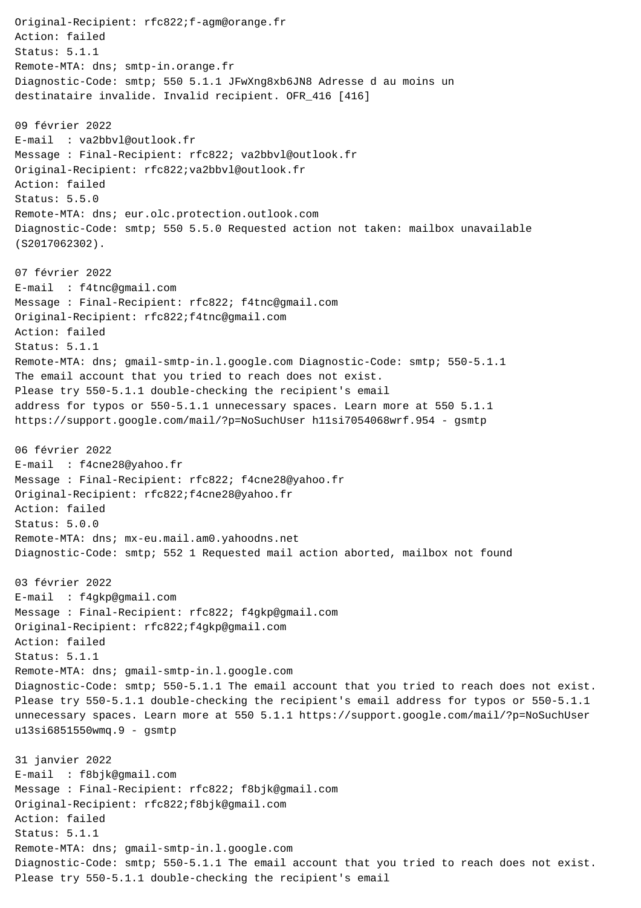Original-Recipient: rfc822;f-agm@orange.fr Action: failed Status: 5.1.1 Remote-MTA: dns; smtp-in.orange.fr Diagnostic-Code: smtp; 550 5.1.1 JFwXng8xb6JN8 Adresse d au moins un destinataire invalide. Invalid recipient. OFR\_416 [416] 09 février 2022 E-mail : va2bbvl@outlook.fr Message : Final-Recipient: rfc822; va2bbvl@outlook.fr Original-Recipient: rfc822;va2bbvl@outlook.fr Action: failed Status: 5.5.0 Remote-MTA: dns; eur.olc.protection.outlook.com Diagnostic-Code: smtp; 550 5.5.0 Requested action not taken: mailbox unavailable (S2017062302). 07 février 2022 E-mail : f4tnc@gmail.com Message : Final-Recipient: rfc822; f4tnc@gmail.com Original-Recipient: rfc822;f4tnc@gmail.com Action: failed Status: 5.1.1 Remote-MTA: dns; gmail-smtp-in.l.google.com Diagnostic-Code: smtp; 550-5.1.1 The email account that you tried to reach does not exist. Please try 550-5.1.1 double-checking the recipient's email address for typos or 550-5.1.1 unnecessary spaces. Learn more at 550 5.1.1 https://support.google.com/mail/?p=NoSuchUser h11si7054068wrf.954 - gsmtp 06 février 2022 E-mail : f4cne28@yahoo.fr Message : Final-Recipient: rfc822; f4cne28@yahoo.fr Original-Recipient: rfc822;f4cne28@yahoo.fr Action: failed Status: 5.0.0 Remote-MTA: dns; mx-eu.mail.am0.yahoodns.net Diagnostic-Code: smtp; 552 1 Requested mail action aborted, mailbox not found 03 février 2022 E-mail : f4gkp@gmail.com Message : Final-Recipient: rfc822; f4gkp@gmail.com Original-Recipient: rfc822;f4gkp@gmail.com Action: failed Status: 5.1.1 Remote-MTA: dns; gmail-smtp-in.l.google.com Diagnostic-Code: smtp; 550-5.1.1 The email account that you tried to reach does not exist. Please try 550-5.1.1 double-checking the recipient's email address for typos or 550-5.1.1 unnecessary spaces. Learn more at 550 5.1.1 https://support.google.com/mail/?p=NoSuchUser u13si6851550wmq.9 - gsmtp 31 janvier 2022 E-mail : f8bjk@gmail.com Message : Final-Recipient: rfc822; f8bjk@gmail.com Original-Recipient: rfc822;f8bjk@gmail.com Action: failed Status: 5.1.1 Remote-MTA: dns; gmail-smtp-in.l.google.com Diagnostic-Code: smtp; 550-5.1.1 The email account that you tried to reach does not exist. Please try 550-5.1.1 double-checking the recipient's email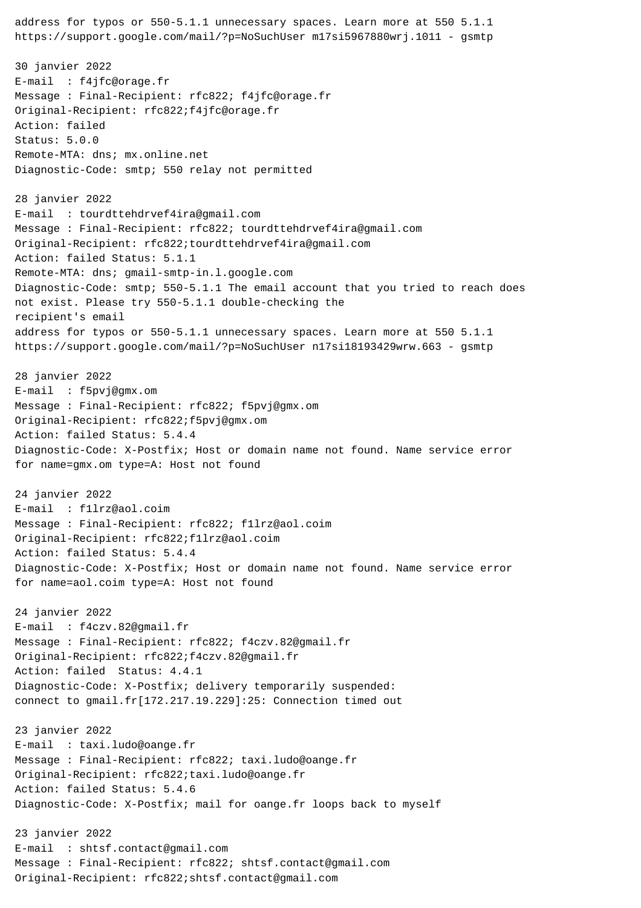address for typos or 550-5.1.1 unnecessary spaces. Learn more at 550 5.1.1 https://support.google.com/mail/?p=NoSuchUser m17si5967880wrj.1011 - gsmtp 30 janvier 2022 E-mail : f4jfc@orage.fr Message : Final-Recipient: rfc822; f4jfc@orage.fr Original-Recipient: rfc822;f4jfc@orage.fr Action: failed Status: 5.0.0 Remote-MTA: dns; mx.online.net Diagnostic-Code: smtp; 550 relay not permitted 28 janvier 2022 E-mail : tourdttehdrvef4ira@gmail.com Message : Final-Recipient: rfc822; tourdttehdrvef4ira@gmail.com Original-Recipient: rfc822;tourdttehdrvef4ira@gmail.com Action: failed Status: 5.1.1 Remote-MTA: dns; gmail-smtp-in.l.google.com Diagnostic-Code: smtp; 550-5.1.1 The email account that you tried to reach does not exist. Please try 550-5.1.1 double-checking the recipient's email address for typos or 550-5.1.1 unnecessary spaces. Learn more at 550 5.1.1 https://support.google.com/mail/?p=NoSuchUser n17si18193429wrw.663 - gsmtp 28 janvier 2022 E-mail : f5pvj@gmx.om Message : Final-Recipient: rfc822; f5pvj@gmx.om Original-Recipient: rfc822;f5pvj@gmx.om Action: failed Status: 5.4.4 Diagnostic-Code: X-Postfix; Host or domain name not found. Name service error for name=gmx.om type=A: Host not found 24 janvier 2022 E-mail : f1lrz@aol.coim Message : Final-Recipient: rfc822; f1lrz@aol.coim Original-Recipient: rfc822;f1lrz@aol.coim Action: failed Status: 5.4.4 Diagnostic-Code: X-Postfix; Host or domain name not found. Name service error for name=aol.coim type=A: Host not found 24 janvier 2022 E-mail : f4czv.82@gmail.fr Message : Final-Recipient: rfc822; f4czv.82@gmail.fr Original-Recipient: rfc822;f4czv.82@gmail.fr Action: failed Status: 4.4.1 Diagnostic-Code: X-Postfix; delivery temporarily suspended: connect to gmail.fr[172.217.19.229]:25: Connection timed out 23 janvier 2022 E-mail : taxi.ludo@oange.fr Message : Final-Recipient: rfc822; taxi.ludo@oange.fr Original-Recipient: rfc822;taxi.ludo@oange.fr Action: failed Status: 5.4.6 Diagnostic-Code: X-Postfix; mail for oange.fr loops back to myself 23 janvier 2022 E-mail : shtsf.contact@gmail.com Message : Final-Recipient: rfc822; shtsf.contact@gmail.com Original-Recipient: rfc822;shtsf.contact@gmail.com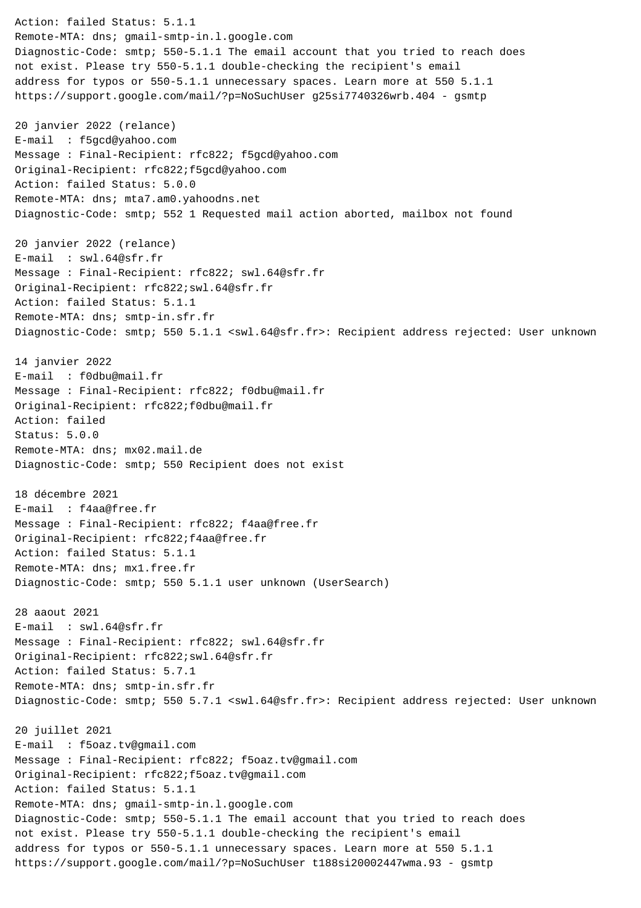Action: failed Status: 5.1.1 Remote-MTA: dns; gmail-smtp-in.l.google.com Diagnostic-Code: smtp; 550-5.1.1 The email account that you tried to reach does not exist. Please try 550-5.1.1 double-checking the recipient's email address for typos or 550-5.1.1 unnecessary spaces. Learn more at 550 5.1.1 https://support.google.com/mail/?p=NoSuchUser g25si7740326wrb.404 - gsmtp 20 janvier 2022 (relance) E-mail : f5gcd@yahoo.com Message : Final-Recipient: rfc822; f5gcd@yahoo.com Original-Recipient: rfc822;f5gcd@yahoo.com Action: failed Status: 5.0.0 Remote-MTA: dns; mta7.am0.yahoodns.net Diagnostic-Code: smtp; 552 1 Requested mail action aborted, mailbox not found 20 janvier 2022 (relance) E-mail : swl.64@sfr.fr Message : Final-Recipient: rfc822; swl.64@sfr.fr Original-Recipient: rfc822;swl.64@sfr.fr Action: failed Status: 5.1.1 Remote-MTA: dns; smtp-in.sfr.fr Diagnostic-Code: smtp; 550 5.1.1 <swl.64@sfr.fr>: Recipient address rejected: User unknown 14 janvier 2022 E-mail : f0dbu@mail.fr Message : Final-Recipient: rfc822; f0dbu@mail.fr Original-Recipient: rfc822;f0dbu@mail.fr Action: failed Status: 5.0.0 Remote-MTA: dns; mx02.mail.de Diagnostic-Code: smtp; 550 Recipient does not exist 18 décembre 2021 E-mail : f4aa@free.fr Message : Final-Recipient: rfc822; f4aa@free.fr Original-Recipient: rfc822;f4aa@free.fr Action: failed Status: 5.1.1 Remote-MTA: dns; mx1.free.fr Diagnostic-Code: smtp; 550 5.1.1 user unknown (UserSearch) 28 aaout 2021 E-mail : swl.64@sfr.fr Message : Final-Recipient: rfc822; swl.64@sfr.fr Original-Recipient: rfc822;swl.64@sfr.fr Action: failed Status: 5.7.1 Remote-MTA: dns; smtp-in.sfr.fr Diagnostic-Code: smtp; 550 5.7.1 <swl.64@sfr.fr>: Recipient address rejected: User unknown 20 juillet 2021 E-mail : f5oaz.tv@gmail.com Message : Final-Recipient: rfc822; f5oaz.tv@gmail.com Original-Recipient: rfc822;f5oaz.tv@gmail.com Action: failed Status: 5.1.1 Remote-MTA: dns; gmail-smtp-in.l.google.com Diagnostic-Code: smtp; 550-5.1.1 The email account that you tried to reach does not exist. Please try 550-5.1.1 double-checking the recipient's email address for typos or 550-5.1.1 unnecessary spaces. Learn more at 550 5.1.1 https://support.google.com/mail/?p=NoSuchUser t188si20002447wma.93 - gsmtp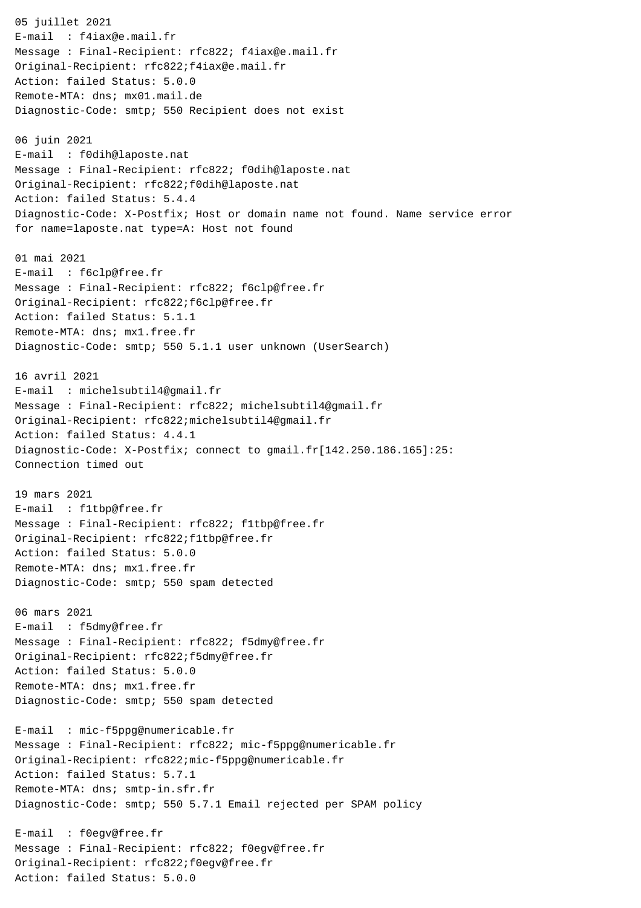05 juillet 2021 E-mail : f4iax@e.mail.fr Message : Final-Recipient: rfc822; f4iax@e.mail.fr Original-Recipient: rfc822;f4iax@e.mail.fr Action: failed Status: 5.0.0 Remote-MTA: dns; mx01.mail.de Diagnostic-Code: smtp; 550 Recipient does not exist 06 juin 2021 E-mail : f0dih@laposte.nat Message : Final-Recipient: rfc822; f0dih@laposte.nat Original-Recipient: rfc822;f0dih@laposte.nat Action: failed Status: 5.4.4 Diagnostic-Code: X-Postfix; Host or domain name not found. Name service error for name=laposte.nat type=A: Host not found 01 mai 2021 E-mail : f6clp@free.fr Message : Final-Recipient: rfc822; f6clp@free.fr Original-Recipient: rfc822;f6clp@free.fr Action: failed Status: 5.1.1 Remote-MTA: dns; mx1.free.fr Diagnostic-Code: smtp; 550 5.1.1 user unknown (UserSearch) 16 avril 2021 E-mail : michelsubtil4@gmail.fr Message : Final-Recipient: rfc822; michelsubtil4@gmail.fr Original-Recipient: rfc822;michelsubtil4@gmail.fr Action: failed Status: 4.4.1 Diagnostic-Code: X-Postfix; connect to gmail.fr[142.250.186.165]:25: Connection timed out 19 mars 2021 E-mail : f1tbp@free.fr Message : Final-Recipient: rfc822; f1tbp@free.fr Original-Recipient: rfc822;f1tbp@free.fr Action: failed Status: 5.0.0 Remote-MTA: dns; mx1.free.fr Diagnostic-Code: smtp; 550 spam detected 06 mars 2021 E-mail : f5dmy@free.fr Message : Final-Recipient: rfc822; f5dmy@free.fr Original-Recipient: rfc822;f5dmy@free.fr Action: failed Status: 5.0.0 Remote-MTA: dns; mx1.free.fr Diagnostic-Code: smtp; 550 spam detected E-mail : mic-f5ppg@numericable.fr Message : Final-Recipient: rfc822; mic-f5ppg@numericable.fr Original-Recipient: rfc822;mic-f5ppg@numericable.fr Action: failed Status: 5.7.1 Remote-MTA: dns; smtp-in.sfr.fr Diagnostic-Code: smtp; 550 5.7.1 Email rejected per SPAM policy E-mail : f0egv@free.fr Message : Final-Recipient: rfc822; f0egv@free.fr Original-Recipient: rfc822;f0egv@free.fr

Action: failed Status: 5.0.0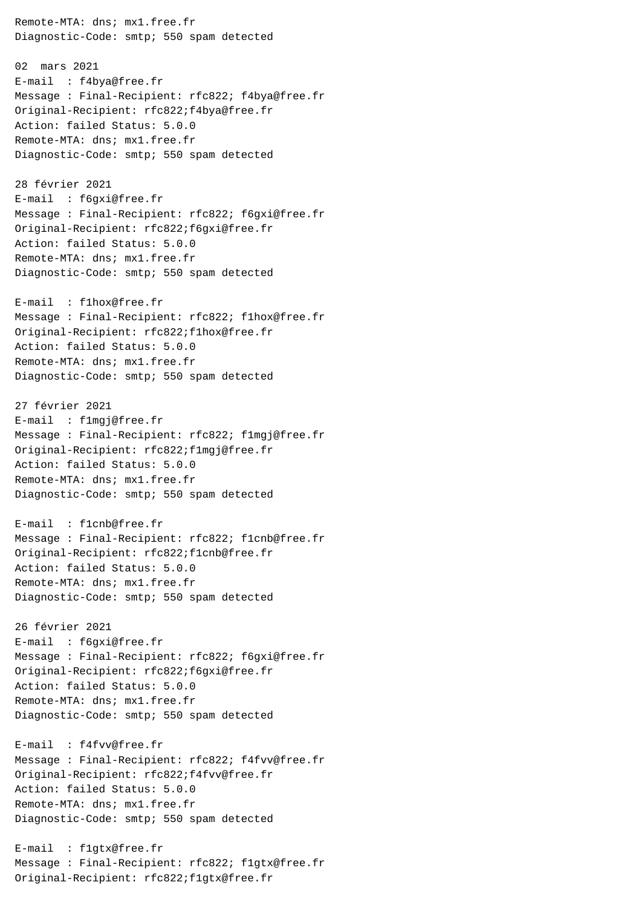Remote-MTA: dns; mx1.free.fr Diagnostic-Code: smtp; 550 spam detected 02 mars 2021 E-mail : f4bya@free.fr Message : Final-Recipient: rfc822; f4bya@free.fr Original-Recipient: rfc822;f4bya@free.fr Action: failed Status: 5.0.0 Remote-MTA: dns; mx1.free.fr Diagnostic-Code: smtp; 550 spam detected 28 février 2021 E-mail : f6gxi@free.fr Message : Final-Recipient: rfc822; f6gxi@free.fr Original-Recipient: rfc822;f6gxi@free.fr Action: failed Status: 5.0.0 Remote-MTA: dns; mx1.free.fr Diagnostic-Code: smtp; 550 spam detected E-mail : f1hox@free.fr Message : Final-Recipient: rfc822; f1hox@free.fr Original-Recipient: rfc822;f1hox@free.fr Action: failed Status: 5.0.0 Remote-MTA: dns; mx1.free.fr Diagnostic-Code: smtp; 550 spam detected 27 février 2021 E-mail : f1mgj@free.fr Message : Final-Recipient: rfc822; f1mgj@free.fr Original-Recipient: rfc822;f1mgj@free.fr Action: failed Status: 5.0.0 Remote-MTA: dns; mx1.free.fr Diagnostic-Code: smtp; 550 spam detected E-mail : f1cnb@free.fr Message : Final-Recipient: rfc822; f1cnb@free.fr Original-Recipient: rfc822;f1cnb@free.fr Action: failed Status: 5.0.0 Remote-MTA: dns; mx1.free.fr Diagnostic-Code: smtp; 550 spam detected 26 février 2021 E-mail : f6gxi@free.fr Message : Final-Recipient: rfc822; f6gxi@free.fr Original-Recipient: rfc822;f6gxi@free.fr Action: failed Status: 5.0.0 Remote-MTA: dns; mx1.free.fr Diagnostic-Code: smtp; 550 spam detected E-mail : f4fvv@free.fr Message : Final-Recipient: rfc822; f4fvv@free.fr Original-Recipient: rfc822;f4fvv@free.fr Action: failed Status: 5.0.0 Remote-MTA: dns; mx1.free.fr Diagnostic-Code: smtp; 550 spam detected E-mail : f1gtx@free.fr

Message : Final-Recipient: rfc822; f1gtx@free.fr

Original-Recipient: rfc822;f1gtx@free.fr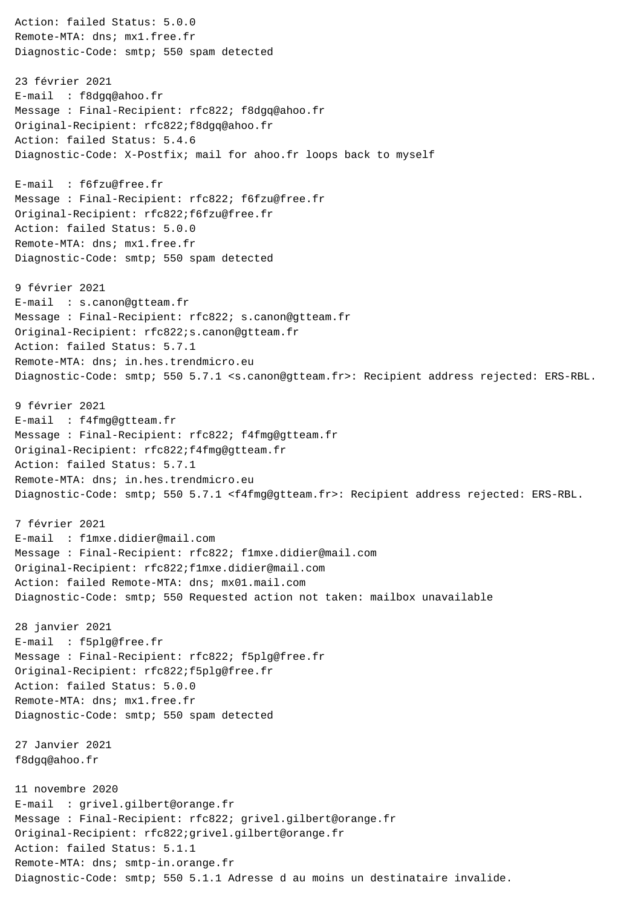Action: failed Status: 5.0.0 Remote-MTA: dns; mx1.free.fr Diagnostic-Code: smtp; 550 spam detected 23 février 2021 E-mail : f8dgq@ahoo.fr Message : Final-Recipient: rfc822; f8dgq@ahoo.fr Original-Recipient: rfc822;f8dgq@ahoo.fr Action: failed Status: 5.4.6 Diagnostic-Code: X-Postfix; mail for ahoo.fr loops back to myself E-mail : f6fzu@free.fr Message : Final-Recipient: rfc822; f6fzu@free.fr Original-Recipient: rfc822;f6fzu@free.fr Action: failed Status: 5.0.0 Remote-MTA: dns; mx1.free.fr Diagnostic-Code: smtp; 550 spam detected 9 février 2021 E-mail : s.canon@gtteam.fr Message : Final-Recipient: rfc822; s.canon@gtteam.fr Original-Recipient: rfc822;s.canon@gtteam.fr Action: failed Status: 5.7.1 Remote-MTA: dns; in.hes.trendmicro.eu Diagnostic-Code: smtp; 550 5.7.1 <s.canon@gtteam.fr>: Recipient address rejected: ERS-RBL. 9 février 2021 E-mail : f4fmg@gtteam.fr Message : Final-Recipient: rfc822; f4fmg@gtteam.fr Original-Recipient: rfc822;f4fmg@gtteam.fr Action: failed Status: 5.7.1 Remote-MTA: dns; in.hes.trendmicro.eu Diagnostic-Code: smtp; 550 5.7.1 <f4fmg@gtteam.fr>: Recipient address rejected: ERS-RBL. 7 février 2021 E-mail : f1mxe.didier@mail.com Message : Final-Recipient: rfc822; f1mxe.didier@mail.com Original-Recipient: rfc822;f1mxe.didier@mail.com Action: failed Remote-MTA: dns; mx01.mail.com Diagnostic-Code: smtp; 550 Requested action not taken: mailbox unavailable 28 janvier 2021 E-mail : f5plg@free.fr Message : Final-Recipient: rfc822; f5plg@free.fr Original-Recipient: rfc822;f5plg@free.fr Action: failed Status: 5.0.0 Remote-MTA: dns; mx1.free.fr Diagnostic-Code: smtp; 550 spam detected 27 Janvier 2021 f8dgq@ahoo.fr 11 novembre 2020 E-mail : grivel.gilbert@orange.fr Message : Final-Recipient: rfc822; grivel.gilbert@orange.fr Original-Recipient: rfc822;grivel.gilbert@orange.fr Action: failed Status: 5.1.1 Remote-MTA: dns; smtp-in.orange.fr Diagnostic-Code: smtp; 550 5.1.1 Adresse d au moins un destinataire invalide.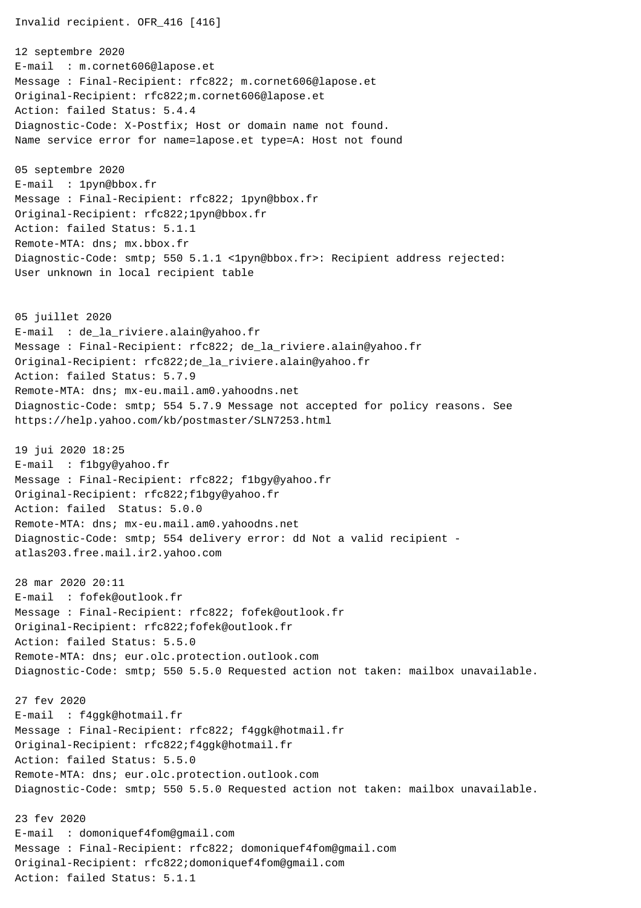Invalid recipient. OFR\_416 [416]

12 septembre 2020 E-mail : m.cornet606@lapose.et Message : Final-Recipient: rfc822; m.cornet606@lapose.et Original-Recipient: rfc822;m.cornet606@lapose.et Action: failed Status: 5.4.4 Diagnostic-Code: X-Postfix; Host or domain name not found. Name service error for name=lapose.et type=A: Host not found

05 septembre 2020 E-mail : 1pyn@bbox.fr Message : Final-Recipient: rfc822; 1pyn@bbox.fr Original-Recipient: rfc822;1pyn@bbox.fr Action: failed Status: 5.1.1 Remote-MTA: dns; mx.bbox.fr Diagnostic-Code: smtp; 550 5.1.1 <1pyn@bbox.fr>: Recipient address rejected: User unknown in local recipient table

05 juillet 2020 E-mail : de\_la\_riviere.alain@yahoo.fr Message : Final-Recipient: rfc822; de\_la\_riviere.alain@yahoo.fr Original-Recipient: rfc822;de\_la\_riviere.alain@yahoo.fr Action: failed Status: 5.7.9 Remote-MTA: dns; mx-eu.mail.am0.yahoodns.net Diagnostic-Code: smtp; 554 5.7.9 Message not accepted for policy reasons. See https://help.yahoo.com/kb/postmaster/SLN7253.html

19 jui 2020 18:25 E-mail : f1bgy@yahoo.fr Message : Final-Recipient: rfc822; f1bgy@yahoo.fr Original-Recipient: rfc822;f1bgy@yahoo.fr Action: failed Status: 5.0.0 Remote-MTA: dns; mx-eu.mail.am0.yahoodns.net Diagnostic-Code: smtp; 554 delivery error: dd Not a valid recipient atlas203.free.mail.ir2.yahoo.com

28 mar 2020 20:11 E-mail : fofek@outlook.fr Message : Final-Recipient: rfc822; fofek@outlook.fr Original-Recipient: rfc822;fofek@outlook.fr Action: failed Status: 5.5.0 Remote-MTA: dns; eur.olc.protection.outlook.com Diagnostic-Code: smtp; 550 5.5.0 Requested action not taken: mailbox unavailable.

27 fev 2020 E-mail : f4ggk@hotmail.fr Message : Final-Recipient: rfc822; f4ggk@hotmail.fr Original-Recipient: rfc822;f4ggk@hotmail.fr Action: failed Status: 5.5.0 Remote-MTA: dns; eur.olc.protection.outlook.com Diagnostic-Code: smtp; 550 5.5.0 Requested action not taken: mailbox unavailable.

23 fev 2020 E-mail : domoniquef4fom@gmail.com Message : Final-Recipient: rfc822; domoniquef4fom@gmail.com Original-Recipient: rfc822;domoniquef4fom@gmail.com Action: failed Status: 5.1.1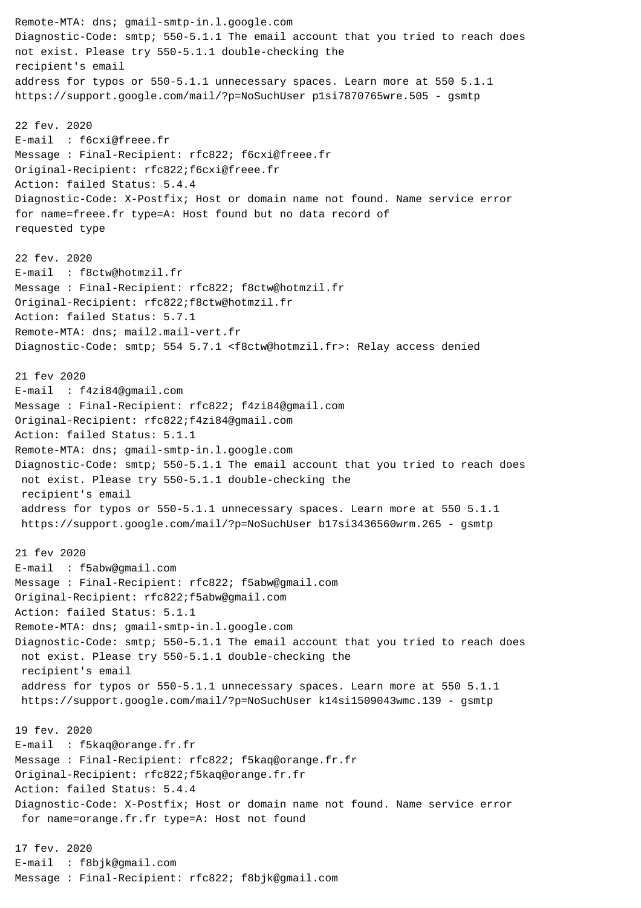Remote-MTA: dns; gmail-smtp-in.l.google.com Diagnostic-Code: smtp; 550-5.1.1 The email account that you tried to reach does not exist. Please try 550-5.1.1 double-checking the recipient's email address for typos or 550-5.1.1 unnecessary spaces. Learn more at 550 5.1.1 https://support.google.com/mail/?p=NoSuchUser p1si7870765wre.505 - gsmtp 22 fev. 2020 E-mail : f6cxi@freee.fr Message : Final-Recipient: rfc822; f6cxi@freee.fr Original-Recipient: rfc822;f6cxi@freee.fr Action: failed Status: 5.4.4 Diagnostic-Code: X-Postfix; Host or domain name not found. Name service error for name=freee.fr type=A: Host found but no data record of requested type 22 fev. 2020 E-mail : f8ctw@hotmzil.fr Message : Final-Recipient: rfc822; f8ctw@hotmzil.fr Original-Recipient: rfc822;f8ctw@hotmzil.fr Action: failed Status: 5.7.1 Remote-MTA: dns; mail2.mail-vert.fr Diagnostic-Code: smtp; 554 5.7.1 <f8ctw@hotmzil.fr>: Relay access denied 21 fev 2020 E-mail : f4zi84@gmail.com Message : Final-Recipient: rfc822; f4zi84@gmail.com Original-Recipient: rfc822;f4zi84@gmail.com Action: failed Status: 5.1.1 Remote-MTA: dns; gmail-smtp-in.l.google.com Diagnostic-Code: smtp; 550-5.1.1 The email account that you tried to reach does not exist. Please try 550-5.1.1 double-checking the recipient's email address for typos or 550-5.1.1 unnecessary spaces. Learn more at 550 5.1.1 https://support.google.com/mail/?p=NoSuchUser b17si3436560wrm.265 - gsmtp 21 fev 2020 E-mail : f5abw@gmail.com Message : Final-Recipient: rfc822; f5abw@gmail.com Original-Recipient: rfc822;f5abw@gmail.com Action: failed Status: 5.1.1 Remote-MTA: dns; gmail-smtp-in.l.google.com Diagnostic-Code: smtp; 550-5.1.1 The email account that you tried to reach does not exist. Please try 550-5.1.1 double-checking the recipient's email address for typos or 550-5.1.1 unnecessary spaces. Learn more at 550 5.1.1 https://support.google.com/mail/?p=NoSuchUser k14si1509043wmc.139 - gsmtp 19 fev. 2020 E-mail : f5kaq@orange.fr.fr Message : Final-Recipient: rfc822; f5kaq@orange.fr.fr Original-Recipient: rfc822;f5kaq@orange.fr.fr Action: failed Status: 5.4.4 Diagnostic-Code: X-Postfix; Host or domain name not found. Name service error for name=orange.fr.fr type=A: Host not found 17 fev. 2020 E-mail : f8bjk@gmail.com Message : Final-Recipient: rfc822; f8bjk@gmail.com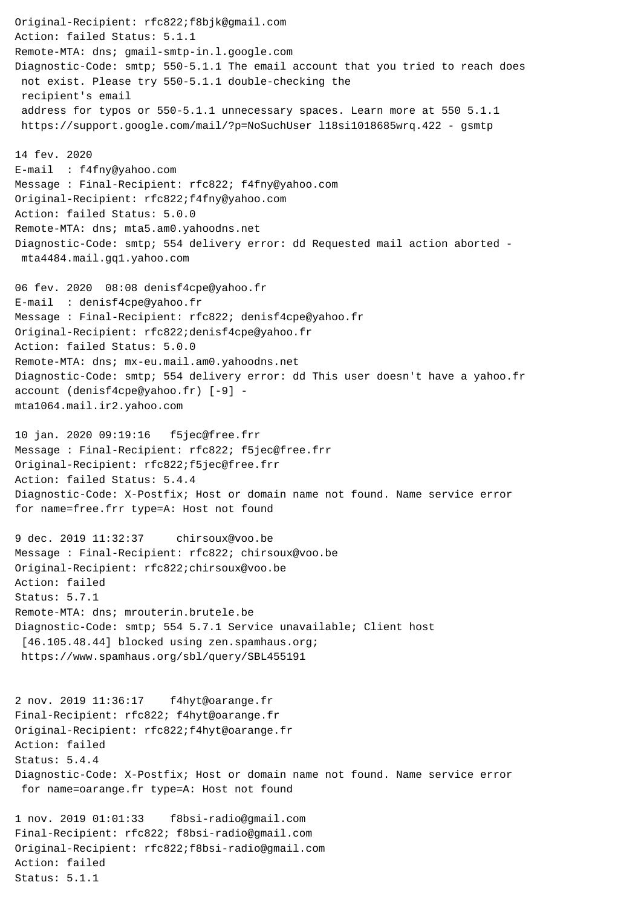Original-Recipient: rfc822;f8bjk@gmail.com Action: failed Status: 5.1.1 Remote-MTA: dns; gmail-smtp-in.l.google.com Diagnostic-Code: smtp; 550-5.1.1 The email account that you tried to reach does not exist. Please try 550-5.1.1 double-checking the recipient's email address for typos or 550-5.1.1 unnecessary spaces. Learn more at 550 5.1.1 https://support.google.com/mail/?p=NoSuchUser l18si1018685wrq.422 - gsmtp 14 fev. 2020 E-mail : f4fny@yahoo.com Message : Final-Recipient: rfc822; f4fny@yahoo.com Original-Recipient: rfc822;f4fny@yahoo.com Action: failed Status: 5.0.0 Remote-MTA: dns; mta5.am0.yahoodns.net Diagnostic-Code: smtp; 554 delivery error: dd Requested mail action aborted mta4484.mail.gq1.yahoo.com 06 fev. 2020 08:08 denisf4cpe@yahoo.fr E-mail : denisf4cpe@yahoo.fr Message : Final-Recipient: rfc822; denisf4cpe@yahoo.fr Original-Recipient: rfc822;denisf4cpe@yahoo.fr Action: failed Status: 5.0.0 Remote-MTA: dns; mx-eu.mail.am0.yahoodns.net Diagnostic-Code: smtp; 554 delivery error: dd This user doesn't have a yahoo.fr account (denisf4cpe@yahoo.fr) [-9] mta1064.mail.ir2.yahoo.com 10 jan. 2020 09:19:16 f5jec@free.frr Message : Final-Recipient: rfc822; f5jec@free.frr Original-Recipient: rfc822;f5jec@free.frr Action: failed Status: 5.4.4 Diagnostic-Code: X-Postfix; Host or domain name not found. Name service error for name=free.frr type=A: Host not found 9 dec. 2019 11:32:37 chirsoux@voo.be Message : Final-Recipient: rfc822; chirsoux@voo.be Original-Recipient: rfc822;chirsoux@voo.be Action: failed Status: 5.7.1 Remote-MTA: dns; mrouterin.brutele.be Diagnostic-Code: smtp; 554 5.7.1 Service unavailable; Client host [46.105.48.44] blocked using zen.spamhaus.org; https://www.spamhaus.org/sbl/query/SBL455191 2 nov. 2019 11:36:17 f4hyt@oarange.fr Final-Recipient: rfc822; f4hyt@oarange.fr Original-Recipient: rfc822;f4hyt@oarange.fr Action: failed Status: 5.4.4 Diagnostic-Code: X-Postfix; Host or domain name not found. Name service error for name=oarange.fr type=A: Host not found 1 nov. 2019 01:01:33 f8bsi-radio@gmail.com Final-Recipient: rfc822; f8bsi-radio@gmail.com Original-Recipient: rfc822;f8bsi-radio@gmail.com

Action: failed Status: 5.1.1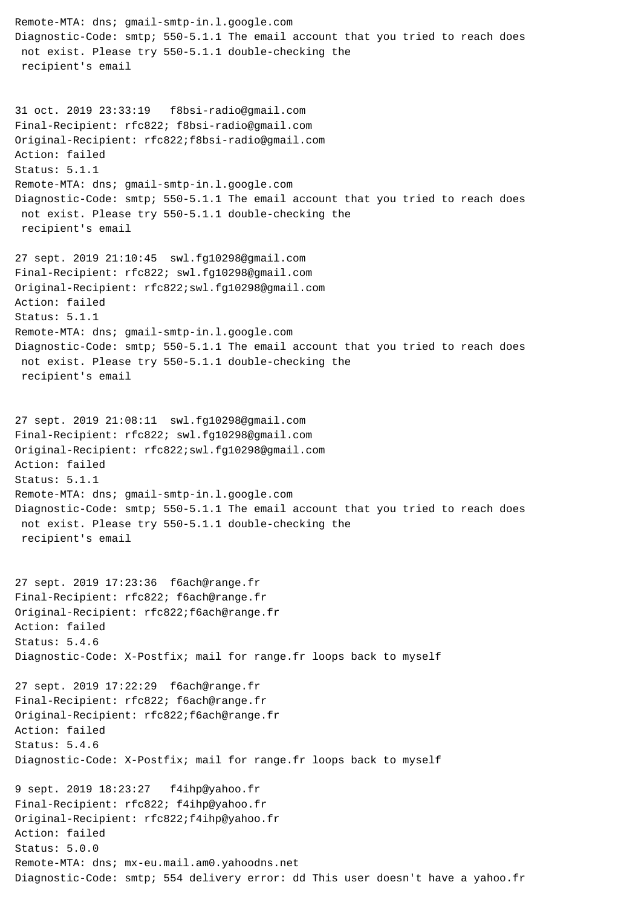Remote-MTA: dns; gmail-smtp-in.l.google.com Diagnostic-Code: smtp; 550-5.1.1 The email account that you tried to reach does not exist. Please try 550-5.1.1 double-checking the recipient's email 31 oct. 2019 23:33:19 f8bsi-radio@gmail.com Final-Recipient: rfc822; f8bsi-radio@gmail.com Original-Recipient: rfc822;f8bsi-radio@gmail.com Action: failed Status: 5.1.1 Remote-MTA: dns; gmail-smtp-in.l.google.com Diagnostic-Code: smtp; 550-5.1.1 The email account that you tried to reach does not exist. Please try 550-5.1.1 double-checking the recipient's email 27 sept. 2019 21:10:45 swl.fg10298@gmail.com Final-Recipient: rfc822; swl.fg10298@gmail.com Original-Recipient: rfc822;swl.fg10298@gmail.com Action: failed Status: 5.1.1 Remote-MTA: dns; gmail-smtp-in.l.google.com Diagnostic-Code: smtp; 550-5.1.1 The email account that you tried to reach does not exist. Please try 550-5.1.1 double-checking the recipient's email 27 sept. 2019 21:08:11 swl.fg10298@gmail.com Final-Recipient: rfc822; swl.fg10298@gmail.com Original-Recipient: rfc822;swl.fg10298@gmail.com Action: failed Status: 5.1.1 Remote-MTA: dns; gmail-smtp-in.l.google.com Diagnostic-Code: smtp; 550-5.1.1 The email account that you tried to reach does not exist. Please try 550-5.1.1 double-checking the recipient's email 27 sept. 2019 17:23:36 f6ach@range.fr Final-Recipient: rfc822; f6ach@range.fr Original-Recipient: rfc822;f6ach@range.fr Action: failed Status: 5.4.6 Diagnostic-Code: X-Postfix; mail for range.fr loops back to myself 27 sept. 2019 17:22:29 f6ach@range.fr Final-Recipient: rfc822; f6ach@range.fr Original-Recipient: rfc822;f6ach@range.fr Action: failed Status: 5.4.6 Diagnostic-Code: X-Postfix; mail for range.fr loops back to myself 9 sept. 2019 18:23:27 f4ihp@yahoo.fr Final-Recipient: rfc822; f4ihp@yahoo.fr Original-Recipient: rfc822;f4ihp@yahoo.fr Action: failed Status: 5.0.0 Remote-MTA: dns; mx-eu.mail.am0.yahoodns.net Diagnostic-Code: smtp; 554 delivery error: dd This user doesn't have a yahoo.fr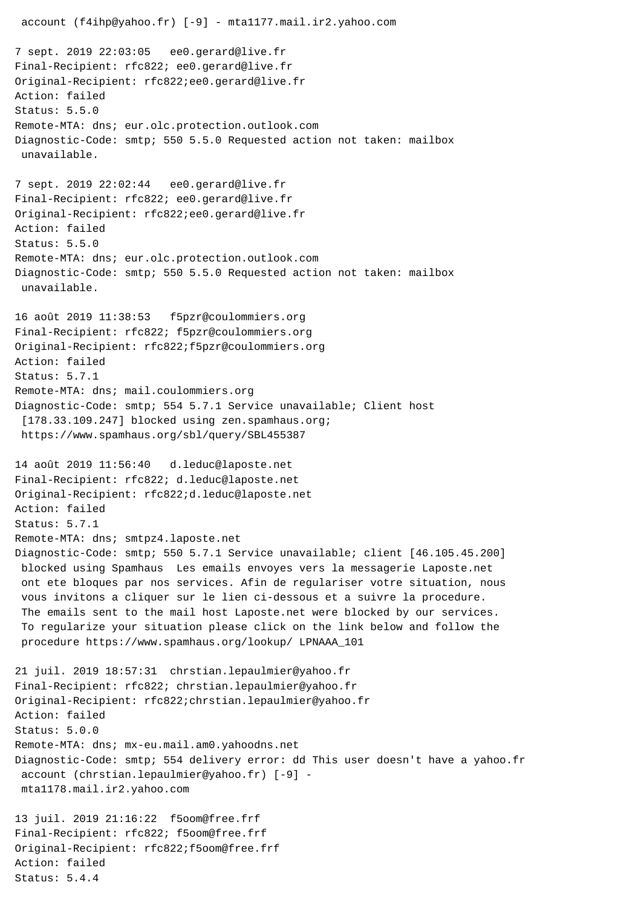account (f4ihp@yahoo.fr) [-9] - mta1177.mail.ir2.yahoo.com 7 sept. 2019 22:03:05 ee0.gerard@live.fr Final-Recipient: rfc822; ee0.gerard@live.fr Original-Recipient: rfc822;ee0.gerard@live.fr Action: failed Status: 5.5.0 Remote-MTA: dns; eur.olc.protection.outlook.com Diagnostic-Code: smtp; 550 5.5.0 Requested action not taken: mailbox unavailable. 7 sept. 2019 22:02:44 ee0.gerard@live.fr Final-Recipient: rfc822; ee0.gerard@live.fr Original-Recipient: rfc822;ee0.gerard@live.fr Action: failed Status: 5.5.0 Remote-MTA: dns; eur.olc.protection.outlook.com Diagnostic-Code: smtp; 550 5.5.0 Requested action not taken: mailbox unavailable. 16 août 2019 11:38:53 f5pzr@coulommiers.org Final-Recipient: rfc822; f5pzr@coulommiers.org Original-Recipient: rfc822;f5pzr@coulommiers.org Action: failed Status: 5.7.1 Remote-MTA: dns; mail.coulommiers.org Diagnostic-Code: smtp; 554 5.7.1 Service unavailable; Client host [178.33.109.247] blocked using zen.spamhaus.org; https://www.spamhaus.org/sbl/query/SBL455387 14 août 2019 11:56:40 d.leduc@laposte.net Final-Recipient: rfc822; d.leduc@laposte.net Original-Recipient: rfc822;d.leduc@laposte.net Action: failed Status: 5.7.1 Remote-MTA: dns; smtpz4.laposte.net Diagnostic-Code: smtp; 550 5.7.1 Service unavailable; client [46.105.45.200] blocked using Spamhaus Les emails envoyes vers la messagerie Laposte.net ont ete bloques par nos services. Afin de regulariser votre situation, nous vous invitons a cliquer sur le lien ci-dessous et a suivre la procedure. The emails sent to the mail host Laposte.net were blocked by our services. To regularize your situation please click on the link below and follow the procedure https://www.spamhaus.org/lookup/ LPNAAA\_101 21 juil. 2019 18:57:31 chrstian.lepaulmier@yahoo.fr Final-Recipient: rfc822; chrstian.lepaulmier@yahoo.fr Original-Recipient: rfc822;chrstian.lepaulmier@yahoo.fr Action: failed Status: 5.0.0 Remote-MTA: dns; mx-eu.mail.am0.yahoodns.net Diagnostic-Code: smtp; 554 delivery error: dd This user doesn't have a yahoo.fr account (chrstian.lepaulmier@yahoo.fr) [-9] mta1178.mail.ir2.yahoo.com 13 juil. 2019 21:16:22 f5oom@free.frf Final-Recipient: rfc822; f5oom@free.frf Original-Recipient: rfc822;f5oom@free.frf Action: failed Status: 5.4.4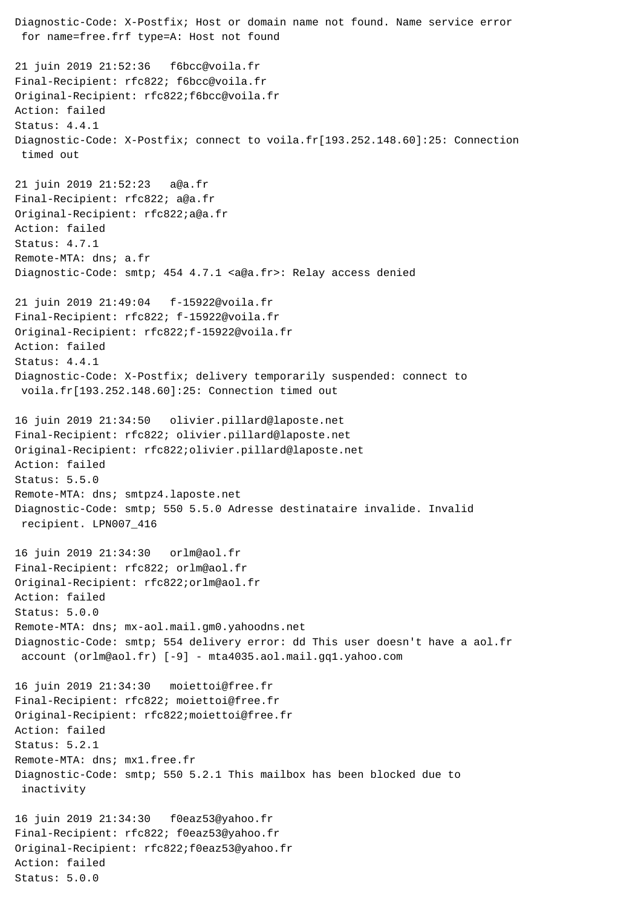Diagnostic-Code: X-Postfix; Host or domain name not found. Name service error for name=free.frf type=A: Host not found 21 juin 2019 21:52:36 f6bcc@voila.fr Final-Recipient: rfc822; f6bcc@voila.fr Original-Recipient: rfc822;f6bcc@voila.fr Action: failed Status: 4.4.1 Diagnostic-Code: X-Postfix; connect to voila.fr[193.252.148.60]:25: Connection timed out 21 juin 2019 21:52:23 a@a.fr Final-Recipient: rfc822; a@a.fr Original-Recipient: rfc822;a@a.fr Action: failed Status: 4.7.1 Remote-MTA: dns; a.fr Diagnostic-Code: smtp; 454 4.7.1 <a@a.fr>: Relay access denied 21 juin 2019 21:49:04 f-15922@voila.fr Final-Recipient: rfc822; f-15922@voila.fr Original-Recipient: rfc822;f-15922@voila.fr Action: failed Status: 4.4.1 Diagnostic-Code: X-Postfix; delivery temporarily suspended: connect to voila.fr[193.252.148.60]:25: Connection timed out 16 juin 2019 21:34:50 olivier.pillard@laposte.net Final-Recipient: rfc822; olivier.pillard@laposte.net Original-Recipient: rfc822;olivier.pillard@laposte.net Action: failed Status: 5.5.0 Remote-MTA: dns; smtpz4.laposte.net Diagnostic-Code: smtp; 550 5.5.0 Adresse destinataire invalide. Invalid recipient. LPN007\_416 16 juin 2019 21:34:30 orlm@aol.fr Final-Recipient: rfc822; orlm@aol.fr Original-Recipient: rfc822;orlm@aol.fr Action: failed Status: 5.0.0 Remote-MTA: dns; mx-aol.mail.gm0.yahoodns.net Diagnostic-Code: smtp; 554 delivery error: dd This user doesn't have a aol.fr account (orlm@aol.fr) [-9] - mta4035.aol.mail.gq1.yahoo.com 16 juin 2019 21:34:30 moiettoi@free.fr Final-Recipient: rfc822; moiettoi@free.fr Original-Recipient: rfc822;moiettoi@free.fr Action: failed Status: 5.2.1 Remote-MTA: dns; mx1.free.fr Diagnostic-Code: smtp; 550 5.2.1 This mailbox has been blocked due to inactivity 16 juin 2019 21:34:30 f0eaz53@yahoo.fr Final-Recipient: rfc822; f0eaz53@yahoo.fr Original-Recipient: rfc822;f0eaz53@yahoo.fr Action: failed Status: 5.0.0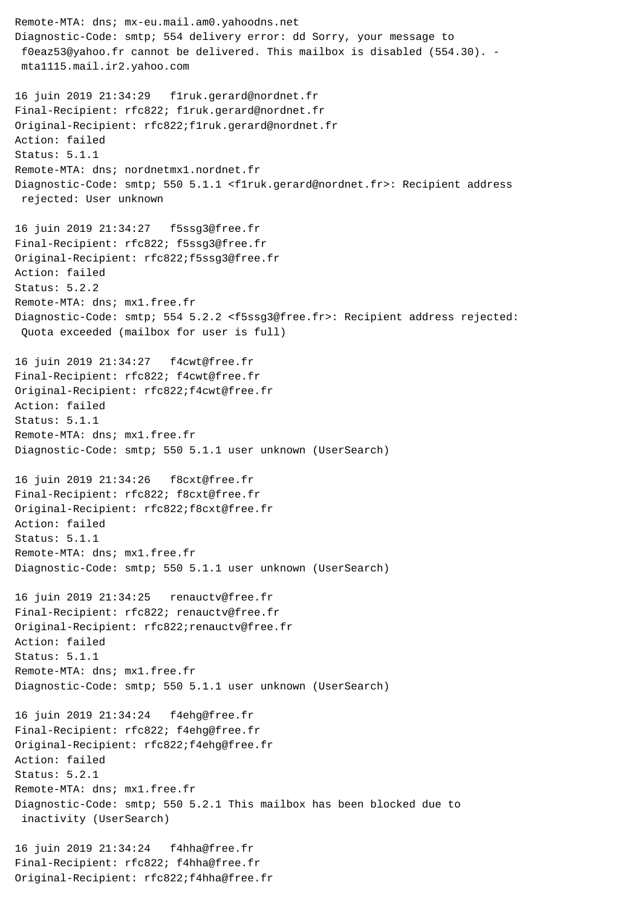Remote-MTA: dns; mx-eu.mail.am0.yahoodns.net Diagnostic-Code: smtp; 554 delivery error: dd Sorry, your message to f0eaz53@yahoo.fr cannot be delivered. This mailbox is disabled (554.30). mta1115.mail.ir2.yahoo.com 16 juin 2019 21:34:29 f1ruk.gerard@nordnet.fr Final-Recipient: rfc822; f1ruk.gerard@nordnet.fr Original-Recipient: rfc822;f1ruk.gerard@nordnet.fr Action: failed Status: 5.1.1 Remote-MTA: dns; nordnetmx1.nordnet.fr Diagnostic-Code: smtp; 550 5.1.1 <f1ruk.gerard@nordnet.fr>: Recipient address rejected: User unknown 16 juin 2019 21:34:27 f5ssg3@free.fr Final-Recipient: rfc822; f5ssg3@free.fr Original-Recipient: rfc822;f5ssg3@free.fr Action: failed Status: 5.2.2 Remote-MTA: dns; mx1.free.fr Diagnostic-Code: smtp; 554 5.2.2 <f5ssg3@free.fr>: Recipient address rejected: Quota exceeded (mailbox for user is full) 16 juin 2019 21:34:27 f4cwt@free.fr Final-Recipient: rfc822; f4cwt@free.fr Original-Recipient: rfc822;f4cwt@free.fr Action: failed Status: 5.1.1 Remote-MTA: dns; mx1.free.fr Diagnostic-Code: smtp; 550 5.1.1 user unknown (UserSearch) 16 juin 2019 21:34:26 f8cxt@free.fr Final-Recipient: rfc822; f8cxt@free.fr Original-Recipient: rfc822;f8cxt@free.fr Action: failed Status: 5.1.1 Remote-MTA: dns; mx1.free.fr Diagnostic-Code: smtp; 550 5.1.1 user unknown (UserSearch) 16 juin 2019 21:34:25 renauctv@free.fr Final-Recipient: rfc822; renauctv@free.fr Original-Recipient: rfc822;renauctv@free.fr Action: failed Status: 5.1.1 Remote-MTA: dns; mx1.free.fr Diagnostic-Code: smtp; 550 5.1.1 user unknown (UserSearch) 16 juin 2019 21:34:24 f4ehg@free.fr Final-Recipient: rfc822; f4ehg@free.fr Original-Recipient: rfc822;f4ehg@free.fr Action: failed Status: 5.2.1 Remote-MTA: dns; mx1.free.fr Diagnostic-Code: smtp; 550 5.2.1 This mailbox has been blocked due to inactivity (UserSearch) 16 juin 2019 21:34:24 f4hha@free.fr Final-Recipient: rfc822; f4hha@free.fr

Original-Recipient: rfc822;f4hha@free.fr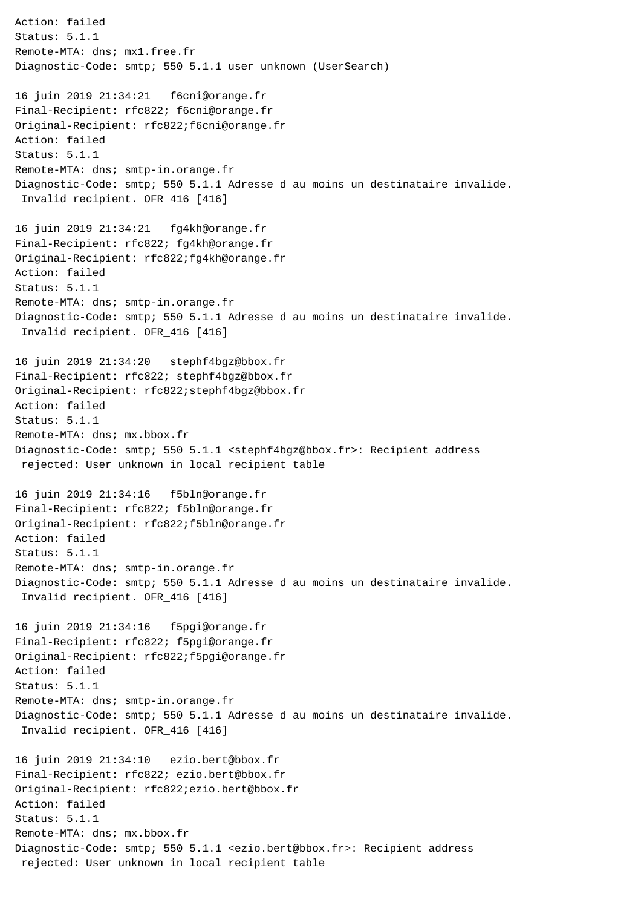Action: failed Status: 5.1.1 Remote-MTA: dns; mx1.free.fr Diagnostic-Code: smtp; 550 5.1.1 user unknown (UserSearch) 16 juin 2019 21:34:21 f6cni@orange.fr Final-Recipient: rfc822; f6cni@orange.fr Original-Recipient: rfc822;f6cni@orange.fr Action: failed Status: 5.1.1 Remote-MTA: dns; smtp-in.orange.fr Diagnostic-Code: smtp; 550 5.1.1 Adresse d au moins un destinataire invalide. Invalid recipient. OFR\_416 [416] 16 juin 2019 21:34:21 fg4kh@orange.fr Final-Recipient: rfc822; fg4kh@orange.fr Original-Recipient: rfc822;fg4kh@orange.fr Action: failed Status: 5.1.1 Remote-MTA: dns; smtp-in.orange.fr Diagnostic-Code: smtp; 550 5.1.1 Adresse d au moins un destinataire invalide. Invalid recipient. OFR\_416 [416] 16 juin 2019 21:34:20 stephf4bgz@bbox.fr Final-Recipient: rfc822; stephf4bgz@bbox.fr Original-Recipient: rfc822;stephf4bgz@bbox.fr Action: failed Status: 5.1.1 Remote-MTA: dns; mx.bbox.fr Diagnostic-Code: smtp; 550 5.1.1 <stephf4bgz@bbox.fr>: Recipient address rejected: User unknown in local recipient table 16 juin 2019 21:34:16 f5bln@orange.fr Final-Recipient: rfc822; f5bln@orange.fr Original-Recipient: rfc822;f5bln@orange.fr Action: failed Status: 5.1.1 Remote-MTA: dns; smtp-in.orange.fr Diagnostic-Code: smtp; 550 5.1.1 Adresse d au moins un destinataire invalide. Invalid recipient. OFR\_416 [416] 16 juin 2019 21:34:16 f5pgi@orange.fr Final-Recipient: rfc822; f5pgi@orange.fr Original-Recipient: rfc822;f5pgi@orange.fr Action: failed Status: 5.1.1 Remote-MTA: dns; smtp-in.orange.fr Diagnostic-Code: smtp; 550 5.1.1 Adresse d au moins un destinataire invalide. Invalid recipient. OFR\_416 [416] 16 juin 2019 21:34:10 ezio.bert@bbox.fr Final-Recipient: rfc822; ezio.bert@bbox.fr Original-Recipient: rfc822;ezio.bert@bbox.fr Action: failed Status: 5.1.1 Remote-MTA: dns; mx.bbox.fr Diagnostic-Code: smtp; 550 5.1.1 <ezio.bert@bbox.fr>: Recipient address rejected: User unknown in local recipient table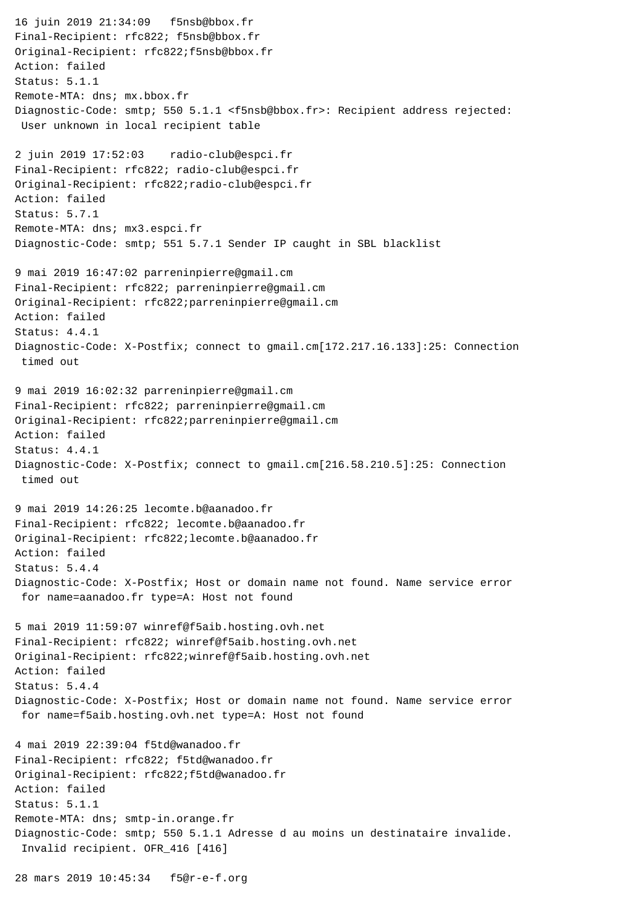16 juin 2019 21:34:09 f5nsb@bbox.fr Final-Recipient: rfc822; f5nsb@bbox.fr Original-Recipient: rfc822;f5nsb@bbox.fr Action: failed Status: 5.1.1 Remote-MTA: dns; mx.bbox.fr Diagnostic-Code: smtp; 550 5.1.1 <f5nsb@bbox.fr>: Recipient address rejected: User unknown in local recipient table 2 juin 2019 17:52:03 radio-club@espci.fr Final-Recipient: rfc822; radio-club@espci.fr Original-Recipient: rfc822;radio-club@espci.fr Action: failed Status: 5.7.1 Remote-MTA: dns; mx3.espci.fr Diagnostic-Code: smtp; 551 5.7.1 Sender IP caught in SBL blacklist 9 mai 2019 16:47:02 parreninpierre@gmail.cm Final-Recipient: rfc822; parreninpierre@gmail.cm Original-Recipient: rfc822;parreninpierre@gmail.cm Action: failed Status: 4.4.1 Diagnostic-Code: X-Postfix; connect to gmail.cm[172.217.16.133]:25: Connection timed out 9 mai 2019 16:02:32 parreninpierre@gmail.cm Final-Recipient: rfc822; parreninpierre@gmail.cm Original-Recipient: rfc822;parreninpierre@gmail.cm Action: failed Status: 4.4.1 Diagnostic-Code: X-Postfix; connect to gmail.cm[216.58.210.5]:25: Connection timed out 9 mai 2019 14:26:25 lecomte.b@aanadoo.fr Final-Recipient: rfc822; lecomte.b@aanadoo.fr Original-Recipient: rfc822;lecomte.b@aanadoo.fr Action: failed Status: 5.4.4 Diagnostic-Code: X-Postfix; Host or domain name not found. Name service error for name=aanadoo.fr type=A: Host not found 5 mai 2019 11:59:07 winref@f5aib.hosting.ovh.net Final-Recipient: rfc822; winref@f5aib.hosting.ovh.net Original-Recipient: rfc822;winref@f5aib.hosting.ovh.net Action: failed Status: 5.4.4 Diagnostic-Code: X-Postfix; Host or domain name not found. Name service error for name=f5aib.hosting.ovh.net type=A: Host not found 4 mai 2019 22:39:04 f5td@wanadoo.fr Final-Recipient: rfc822; f5td@wanadoo.fr Original-Recipient: rfc822;f5td@wanadoo.fr Action: failed Status: 5.1.1 Remote-MTA: dns; smtp-in.orange.fr Diagnostic-Code: smtp; 550 5.1.1 Adresse d au moins un destinataire invalide. Invalid recipient. OFR\_416 [416]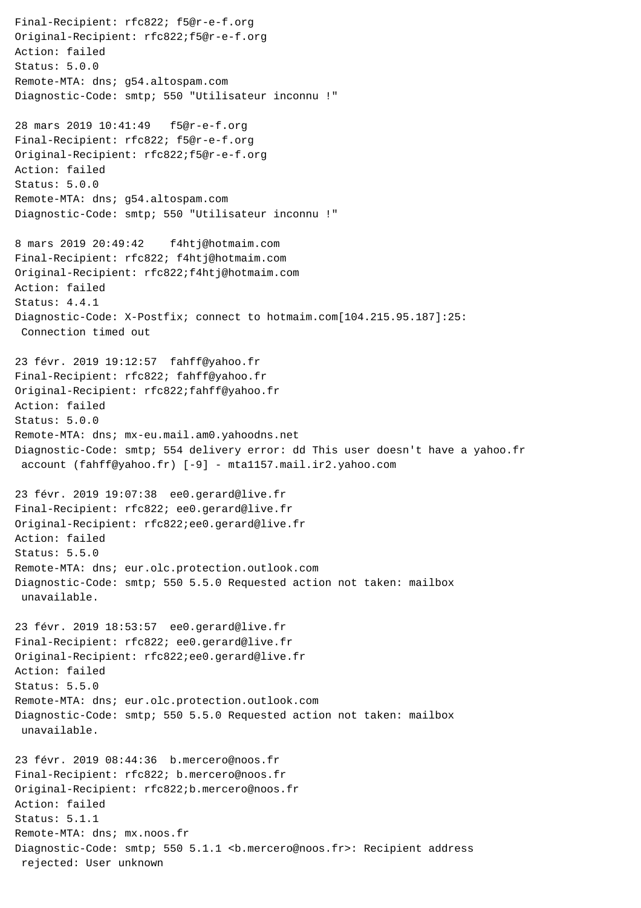Final-Recipient: rfc822; f5@r-e-f.org Original-Recipient: rfc822;f5@r-e-f.org Action: failed Status: 5.0.0 Remote-MTA: dns; g54.altospam.com Diagnostic-Code: smtp; 550 "Utilisateur inconnu !" 28 mars 2019 10:41:49 f5@r-e-f.org Final-Recipient: rfc822; f5@r-e-f.org Original-Recipient: rfc822;f5@r-e-f.org Action: failed Status: 5.0.0 Remote-MTA: dns; g54.altospam.com Diagnostic-Code: smtp; 550 "Utilisateur inconnu !" 8 mars 2019 20:49:42 f4htj@hotmaim.com Final-Recipient: rfc822; f4htj@hotmaim.com Original-Recipient: rfc822;f4htj@hotmaim.com Action: failed Status: 4.4.1 Diagnostic-Code: X-Postfix; connect to hotmaim.com[104.215.95.187]:25: Connection timed out 23 févr. 2019 19:12:57 fahff@yahoo.fr Final-Recipient: rfc822; fahff@yahoo.fr Original-Recipient: rfc822;fahff@yahoo.fr Action: failed Status: 5.0.0 Remote-MTA: dns; mx-eu.mail.am0.yahoodns.net Diagnostic-Code: smtp; 554 delivery error: dd This user doesn't have a yahoo.fr account (fahff@yahoo.fr) [-9] - mta1157.mail.ir2.yahoo.com 23 févr. 2019 19:07:38 ee0.gerard@live.fr Final-Recipient: rfc822; ee0.gerard@live.fr Original-Recipient: rfc822;ee0.gerard@live.fr Action: failed Status: 5.5.0 Remote-MTA: dns; eur.olc.protection.outlook.com Diagnostic-Code: smtp; 550 5.5.0 Requested action not taken: mailbox unavailable. 23 févr. 2019 18:53:57 ee0.gerard@live.fr Final-Recipient: rfc822; ee0.gerard@live.fr Original-Recipient: rfc822;ee0.gerard@live.fr Action: failed Status: 5.5.0 Remote-MTA: dns; eur.olc.protection.outlook.com Diagnostic-Code: smtp; 550 5.5.0 Requested action not taken: mailbox unavailable. 23 févr. 2019 08:44:36 b.mercero@noos.fr Final-Recipient: rfc822; b.mercero@noos.fr Original-Recipient: rfc822;b.mercero@noos.fr Action: failed Status: 5.1.1 Remote-MTA: dns; mx.noos.fr Diagnostic-Code: smtp; 550 5.1.1 <b.mercero@noos.fr>: Recipient address rejected: User unknown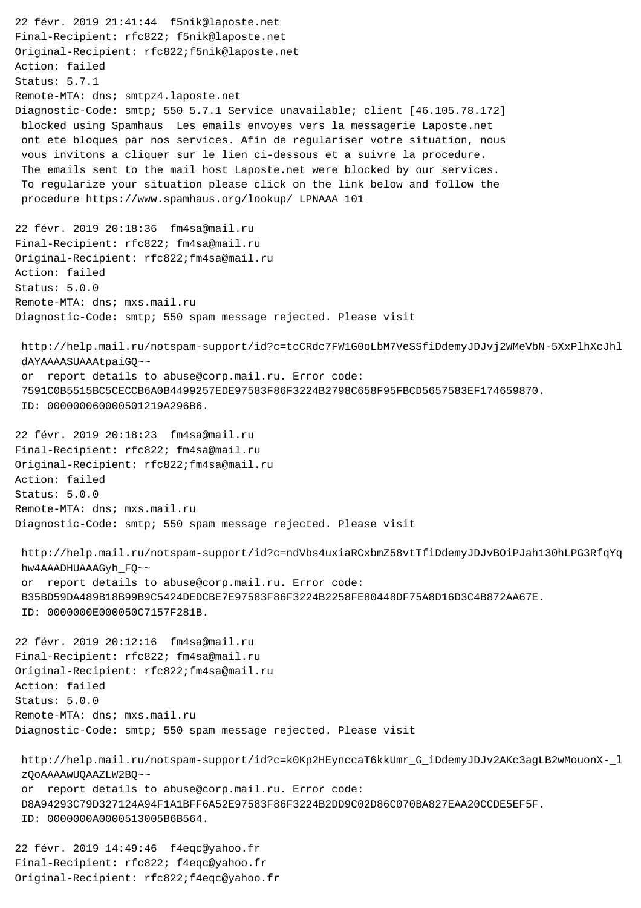22 févr. 2019 21:41:44 f5nik@laposte.net Final-Recipient: rfc822; f5nik@laposte.net Original-Recipient: rfc822;f5nik@laposte.net Action: failed Status: 5.7.1 Remote-MTA: dns; smtpz4.laposte.net Diagnostic-Code: smtp; 550 5.7.1 Service unavailable; client [46.105.78.172] blocked using Spamhaus Les emails envoyes vers la messagerie Laposte.net ont ete bloques par nos services. Afin de regulariser votre situation, nous vous invitons a cliquer sur le lien ci-dessous et a suivre la procedure. The emails sent to the mail host Laposte.net were blocked by our services. To regularize your situation please click on the link below and follow the procedure https://www.spamhaus.org/lookup/ LPNAAA\_101 22 févr. 2019 20:18:36 fm4sa@mail.ru Final-Recipient: rfc822; fm4sa@mail.ru Original-Recipient: rfc822;fm4sa@mail.ru Action: failed Status: 5.0.0 Remote-MTA: dns; mxs.mail.ru Diagnostic-Code: smtp; 550 spam message rejected. Please visit http://help.mail.ru/notspam-support/id?c=tcCRdc7FW1G0oLbM7VeSSfiDdemyJDJvj2WMeVbN-5XxPlhXcJhl dAYAAAASUAAAtpaiGQ~~ or report details to abuse@corp.mail.ru. Error code: 7591C0B5515BC5CECCB6A0B4499257EDE97583F86F3224B2798C658F95FBCD5657583EF174659870. ID: 000000060000501219A296B6. 22 févr. 2019 20:18:23 fm4sa@mail.ru Final-Recipient: rfc822; fm4sa@mail.ru Original-Recipient: rfc822;fm4sa@mail.ru Action: failed Status: 5.0.0 Remote-MTA: dns; mxs.mail.ru Diagnostic-Code: smtp; 550 spam message rejected. Please visit http://help.mail.ru/notspam-support/id?c=ndVbs4uxiaRCxbmZ58vtTfiDdemyJDJvBOiPJah130hLPG3RfqYq hw4AAADHUAAAGyh\_FQ~~ or report details to abuse@corp.mail.ru. Error code: B35BD59DA489B18B99B9C5424DEDCBE7E97583F86F3224B2258FE80448DF75A8D16D3C4B872AA67E. ID: 0000000E000050C7157F281B. 22 févr. 2019 20:12:16 fm4sa@mail.ru Final-Recipient: rfc822; fm4sa@mail.ru Original-Recipient: rfc822;fm4sa@mail.ru Action: failed Status: 5.0.0 Remote-MTA: dns; mxs.mail.ru Diagnostic-Code: smtp; 550 spam message rejected. Please visit http://help.mail.ru/notspam-support/id?c=k0Kp2HEynccaT6kkUmr\_G\_iDdemyJDJv2AKc3agLB2wMouonX-\_l zQoAAAAwUQAAZLW2BQ~~ or report details to abuse@corp.mail.ru. Error code: D8A94293C79D327124A94F1A1BFF6A52E97583F86F3224B2DD9C02D86C070BA827EAA20CCDE5EF5F. ID: 0000000A0000513005B6B564. 22 févr. 2019 14:49:46 f4eqc@yahoo.fr Final-Recipient: rfc822; f4eqc@yahoo.fr

Original-Recipient: rfc822;f4eqc@yahoo.fr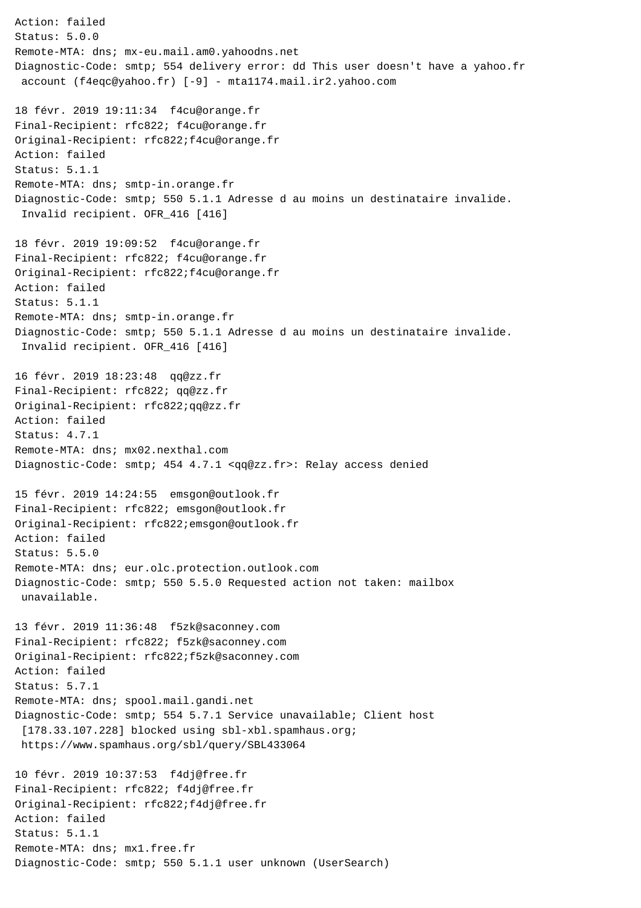Action: failed Status: 5.0.0 Remote-MTA: dns; mx-eu.mail.am0.yahoodns.net Diagnostic-Code: smtp; 554 delivery error: dd This user doesn't have a yahoo.fr account (f4eqc@yahoo.fr) [-9] - mta1174.mail.ir2.yahoo.com 18 févr. 2019 19:11:34 f4cu@orange.fr Final-Recipient: rfc822; f4cu@orange.fr Original-Recipient: rfc822;f4cu@orange.fr Action: failed Status: 5.1.1 Remote-MTA: dns; smtp-in.orange.fr Diagnostic-Code: smtp; 550 5.1.1 Adresse d au moins un destinataire invalide. Invalid recipient. OFR\_416 [416] 18 févr. 2019 19:09:52 f4cu@orange.fr Final-Recipient: rfc822; f4cu@orange.fr Original-Recipient: rfc822;f4cu@orange.fr Action: failed Status: 5.1.1 Remote-MTA: dns; smtp-in.orange.fr Diagnostic-Code: smtp; 550 5.1.1 Adresse d au moins un destinataire invalide. Invalid recipient. OFR\_416 [416] 16 févr. 2019 18:23:48 qq@zz.fr Final-Recipient: rfc822; qq@zz.fr Original-Recipient: rfc822;qq@zz.fr Action: failed Status: 4.7.1 Remote-MTA: dns; mx02.nexthal.com Diagnostic-Code: smtp; 454 4.7.1 <qq@zz.fr>: Relay access denied 15 févr. 2019 14:24:55 emsgon@outlook.fr Final-Recipient: rfc822; emsgon@outlook.fr Original-Recipient: rfc822;emsgon@outlook.fr Action: failed Status: 5.5.0 Remote-MTA: dns; eur.olc.protection.outlook.com Diagnostic-Code: smtp; 550 5.5.0 Requested action not taken: mailbox unavailable. 13 févr. 2019 11:36:48 f5zk@saconney.com Final-Recipient: rfc822; f5zk@saconney.com Original-Recipient: rfc822;f5zk@saconney.com Action: failed Status: 5.7.1 Remote-MTA: dns; spool.mail.gandi.net Diagnostic-Code: smtp; 554 5.7.1 Service unavailable; Client host [178.33.107.228] blocked using sbl-xbl.spamhaus.org; https://www.spamhaus.org/sbl/query/SBL433064 10 févr. 2019 10:37:53 f4dj@free.fr Final-Recipient: rfc822; f4dj@free.fr Original-Recipient: rfc822;f4dj@free.fr Action: failed Status: 5.1.1 Remote-MTA: dns; mx1.free.fr Diagnostic-Code: smtp; 550 5.1.1 user unknown (UserSearch)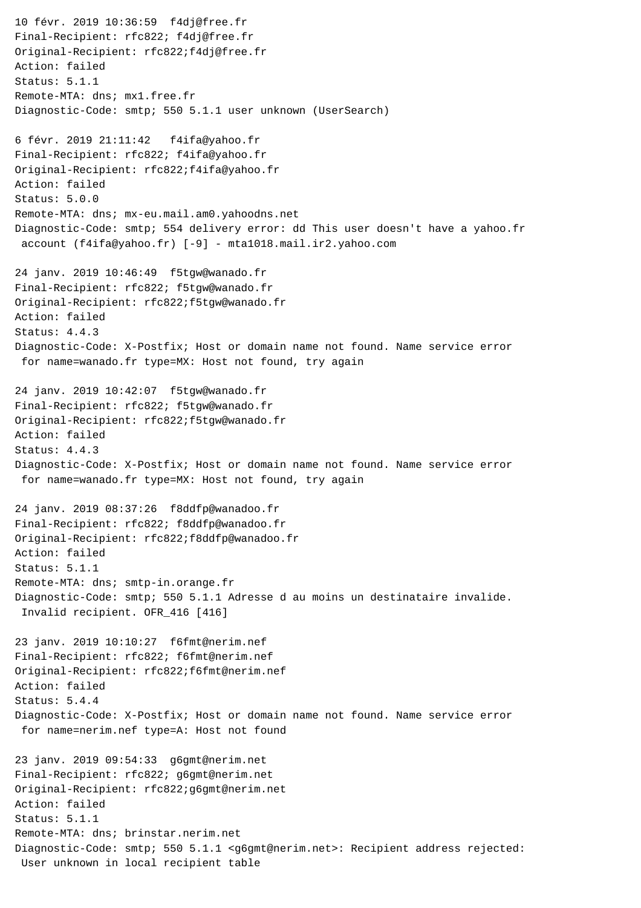10 févr. 2019 10:36:59 f4dj@free.fr Final-Recipient: rfc822; f4dj@free.fr Original-Recipient: rfc822;f4dj@free.fr Action: failed Status: 5.1.1 Remote-MTA: dns; mx1.free.fr Diagnostic-Code: smtp; 550 5.1.1 user unknown (UserSearch) 6 févr. 2019 21:11:42 f4ifa@yahoo.fr Final-Recipient: rfc822; f4ifa@yahoo.fr Original-Recipient: rfc822;f4ifa@yahoo.fr Action: failed Status: 5.0.0 Remote-MTA: dns; mx-eu.mail.am0.yahoodns.net Diagnostic-Code: smtp; 554 delivery error: dd This user doesn't have a yahoo.fr account (f4ifa@yahoo.fr) [-9] - mta1018.mail.ir2.yahoo.com 24 janv. 2019 10:46:49 f5tgw@wanado.fr Final-Recipient: rfc822; f5tgw@wanado.fr Original-Recipient: rfc822;f5tgw@wanado.fr Action: failed Status: 4.4.3 Diagnostic-Code: X-Postfix; Host or domain name not found. Name service error for name=wanado.fr type=MX: Host not found, try again 24 janv. 2019 10:42:07 f5tgw@wanado.fr Final-Recipient: rfc822; f5tgw@wanado.fr Original-Recipient: rfc822;f5tgw@wanado.fr Action: failed Status: 4.4.3 Diagnostic-Code: X-Postfix; Host or domain name not found. Name service error for name=wanado.fr type=MX: Host not found, try again 24 janv. 2019 08:37:26 f8ddfp@wanadoo.fr Final-Recipient: rfc822; f8ddfp@wanadoo.fr Original-Recipient: rfc822;f8ddfp@wanadoo.fr Action: failed Status: 5.1.1 Remote-MTA: dns; smtp-in.orange.fr Diagnostic-Code: smtp; 550 5.1.1 Adresse d au moins un destinataire invalide. Invalid recipient. OFR\_416 [416] 23 janv. 2019 10:10:27 f6fmt@nerim.nef Final-Recipient: rfc822; f6fmt@nerim.nef Original-Recipient: rfc822;f6fmt@nerim.nef Action: failed Status: 5.4.4 Diagnostic-Code: X-Postfix; Host or domain name not found. Name service error for name=nerim.nef type=A: Host not found 23 janv. 2019 09:54:33 g6gmt@nerim.net Final-Recipient: rfc822; g6gmt@nerim.net Original-Recipient: rfc822;g6gmt@nerim.net Action: failed Status: 5.1.1 Remote-MTA: dns; brinstar.nerim.net Diagnostic-Code: smtp; 550 5.1.1 <g6gmt@nerim.net>: Recipient address rejected: User unknown in local recipient table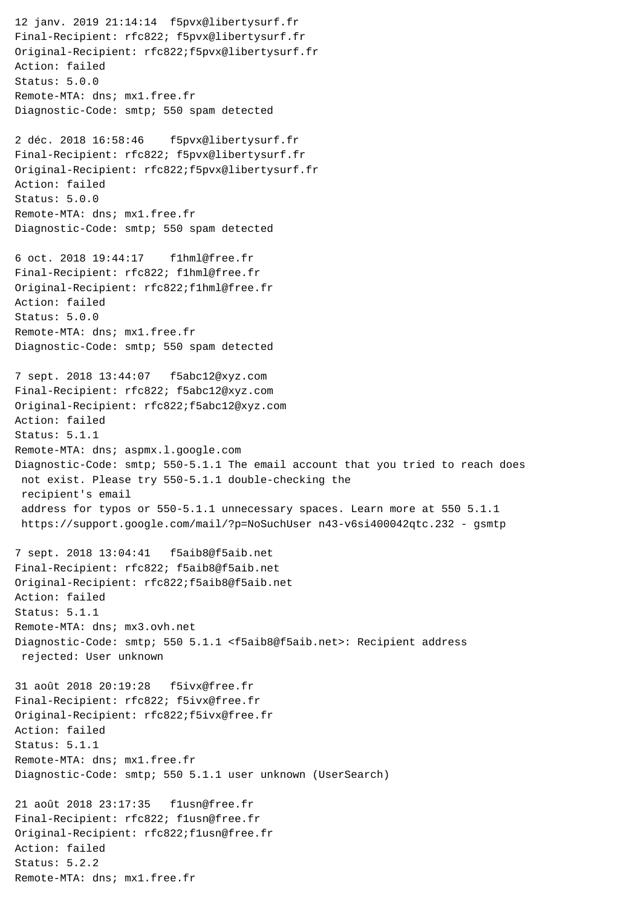Final-Recipient: rfc822; f5pvx@libertysurf.fr Original-Recipient: rfc822;f5pvx@libertysurf.fr Action: failed Status: 5.0.0 Remote-MTA: dns; mx1.free.fr Diagnostic-Code: smtp; 550 spam detected 2 déc. 2018 16:58:46 f5pvx@libertysurf.fr Final-Recipient: rfc822; f5pvx@libertysurf.fr Original-Recipient: rfc822;f5pvx@libertysurf.fr Action: failed Status: 5.0.0 Remote-MTA: dns; mx1.free.fr Diagnostic-Code: smtp; 550 spam detected 6 oct. 2018 19:44:17 f1hml@free.fr Final-Recipient: rfc822; f1hml@free.fr Original-Recipient: rfc822;f1hml@free.fr Action: failed Status: 5.0.0 Remote-MTA: dns; mx1.free.fr Diagnostic-Code: smtp; 550 spam detected 7 sept. 2018 13:44:07 f5abc12@xyz.com Final-Recipient: rfc822; f5abc12@xyz.com Original-Recipient: rfc822;f5abc12@xyz.com Action: failed Status: 5.1.1 Remote-MTA: dns; aspmx.l.google.com Diagnostic-Code: smtp; 550-5.1.1 The email account that you tried to reach does not exist. Please try 550-5.1.1 double-checking the recipient's email address for typos or 550-5.1.1 unnecessary spaces. Learn more at 550 5.1.1 https://support.google.com/mail/?p=NoSuchUser n43-v6si400042qtc.232 - gsmtp 7 sept. 2018 13:04:41 f5aib8@f5aib.net Final-Recipient: rfc822; f5aib8@f5aib.net Original-Recipient: rfc822;f5aib8@f5aib.net Action: failed Status: 5.1.1 Remote-MTA: dns; mx3.ovh.net Diagnostic-Code: smtp; 550 5.1.1 <f5aib8@f5aib.net>: Recipient address rejected: User unknown 31 août 2018 20:19:28 f5ivx@free.fr Final-Recipient: rfc822; f5ivx@free.fr Original-Recipient: rfc822;f5ivx@free.fr Action: failed Status: 5.1.1 Remote-MTA: dns; mx1.free.fr Diagnostic-Code: smtp; 550 5.1.1 user unknown (UserSearch) 21 août 2018 23:17:35 f1usn@free.fr Final-Recipient: rfc822; f1usn@free.fr Original-Recipient: rfc822;f1usn@free.fr Action: failed Status: 5.2.2

12 janv. 2019 21:14:14 f5pvx@libertysurf.fr

Remote-MTA: dns; mx1.free.fr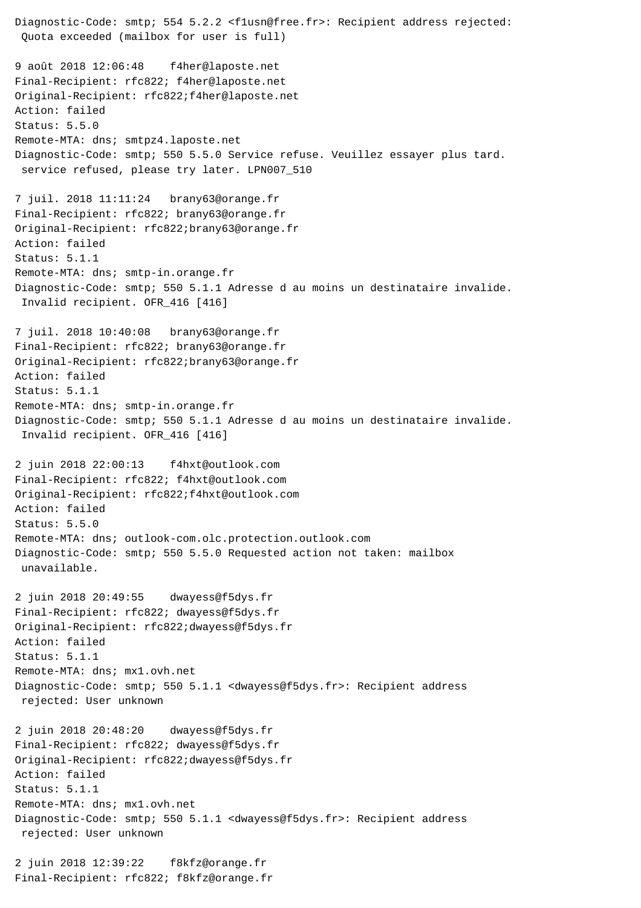Diagnostic-Code: smtp; 554 5.2.2 <f1usn@free.fr>: Recipient address rejected: Quota exceeded (mailbox for user is full) 9 août 2018 12:06:48 f4her@laposte.net Final-Recipient: rfc822; f4her@laposte.net Original-Recipient: rfc822;f4her@laposte.net Action: failed Status: 5.5.0 Remote-MTA: dns; smtpz4.laposte.net Diagnostic-Code: smtp; 550 5.5.0 Service refuse. Veuillez essayer plus tard. service refused, please try later. LPN007\_510 7 juil. 2018 11:11:24 brany63@orange.fr Final-Recipient: rfc822; brany63@orange.fr Original-Recipient: rfc822;brany63@orange.fr Action: failed Status: 5.1.1 Remote-MTA: dns; smtp-in.orange.fr Diagnostic-Code: smtp; 550 5.1.1 Adresse d au moins un destinataire invalide. Invalid recipient. OFR\_416 [416] 7 juil. 2018 10:40:08 brany63@orange.fr Final-Recipient: rfc822; brany63@orange.fr Original-Recipient: rfc822;brany63@orange.fr Action: failed Status: 5.1.1 Remote-MTA: dns; smtp-in.orange.fr Diagnostic-Code: smtp; 550 5.1.1 Adresse d au moins un destinataire invalide. Invalid recipient. OFR\_416 [416] 2 juin 2018 22:00:13 f4hxt@outlook.com Final-Recipient: rfc822; f4hxt@outlook.com Original-Recipient: rfc822;f4hxt@outlook.com Action: failed Status: 5.5.0 Remote-MTA: dns; outlook-com.olc.protection.outlook.com Diagnostic-Code: smtp; 550 5.5.0 Requested action not taken: mailbox unavailable. 2 juin 2018 20:49:55 dwayess@f5dys.fr Final-Recipient: rfc822; dwayess@f5dys.fr Original-Recipient: rfc822;dwayess@f5dys.fr Action: failed Status: 5.1.1 Remote-MTA: dns; mx1.ovh.net Diagnostic-Code: smtp; 550 5.1.1 <dwayess@f5dys.fr>: Recipient address rejected: User unknown 2 juin 2018 20:48:20 dwayess@f5dys.fr Final-Recipient: rfc822; dwayess@f5dys.fr Original-Recipient: rfc822;dwayess@f5dys.fr Action: failed Status: 5.1.1 Remote-MTA: dns; mx1.ovh.net Diagnostic-Code: smtp; 550 5.1.1 <dwayess@f5dys.fr>: Recipient address rejected: User unknown 2 juin 2018 12:39:22 f8kfz@orange.fr

Final-Recipient: rfc822; f8kfz@orange.fr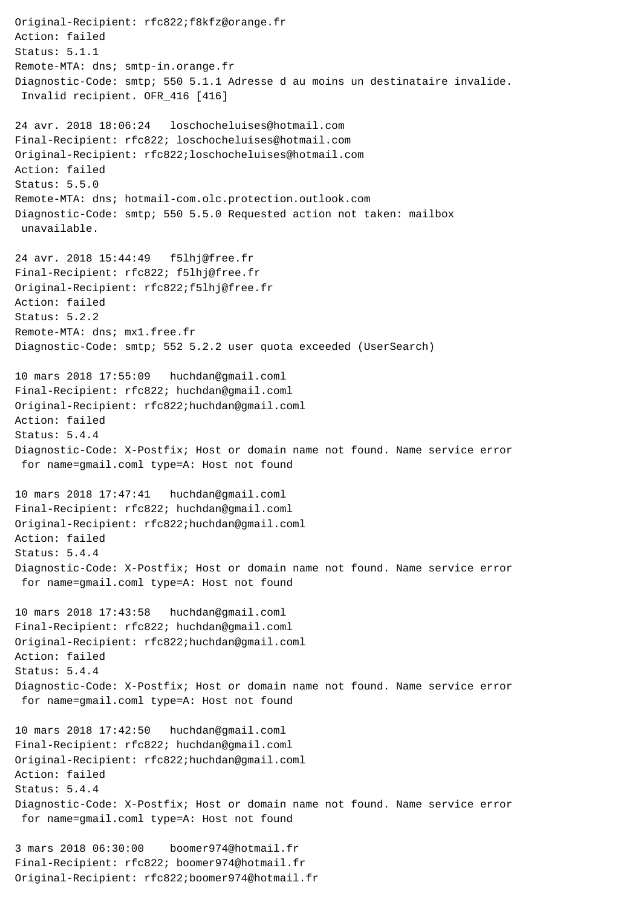Original-Recipient: rfc822;f8kfz@orange.fr Action: failed Status: 5.1.1 Remote-MTA: dns; smtp-in.orange.fr Diagnostic-Code: smtp; 550 5.1.1 Adresse d au moins un destinataire invalide. Invalid recipient. OFR\_416 [416] 24 avr. 2018 18:06:24 loschocheluises@hotmail.com Final-Recipient: rfc822; loschocheluises@hotmail.com Original-Recipient: rfc822;loschocheluises@hotmail.com Action: failed Status: 5.5.0 Remote-MTA: dns; hotmail-com.olc.protection.outlook.com Diagnostic-Code: smtp; 550 5.5.0 Requested action not taken: mailbox unavailable. 24 avr. 2018 15:44:49 f5lhj@free.fr Final-Recipient: rfc822; f5lhj@free.fr Original-Recipient: rfc822;f5lhj@free.fr Action: failed Status: 5.2.2 Remote-MTA: dns; mx1.free.fr Diagnostic-Code: smtp; 552 5.2.2 user quota exceeded (UserSearch) 10 mars 2018 17:55:09 huchdan@gmail.coml Final-Recipient: rfc822; huchdan@gmail.coml Original-Recipient: rfc822;huchdan@gmail.coml Action: failed Status: 5.4.4 Diagnostic-Code: X-Postfix; Host or domain name not found. Name service error for name=gmail.coml type=A: Host not found 10 mars 2018 17:47:41 huchdan@gmail.coml Final-Recipient: rfc822; huchdan@gmail.coml Original-Recipient: rfc822;huchdan@gmail.coml Action: failed Status: 5.4.4 Diagnostic-Code: X-Postfix; Host or domain name not found. Name service error for name=gmail.coml type=A: Host not found 10 mars 2018 17:43:58 huchdan@gmail.coml Final-Recipient: rfc822; huchdan@gmail.coml Original-Recipient: rfc822;huchdan@gmail.coml Action: failed Status: 5.4.4 Diagnostic-Code: X-Postfix; Host or domain name not found. Name service error for name=gmail.coml type=A: Host not found 10 mars 2018 17:42:50 huchdan@gmail.coml Final-Recipient: rfc822; huchdan@gmail.coml Original-Recipient: rfc822;huchdan@gmail.coml Action: failed Status: 5.4.4 Diagnostic-Code: X-Postfix; Host or domain name not found. Name service error for name=gmail.coml type=A: Host not found 3 mars 2018 06:30:00 boomer974@hotmail.fr Final-Recipient: rfc822; boomer974@hotmail.fr

Original-Recipient: rfc822;boomer974@hotmail.fr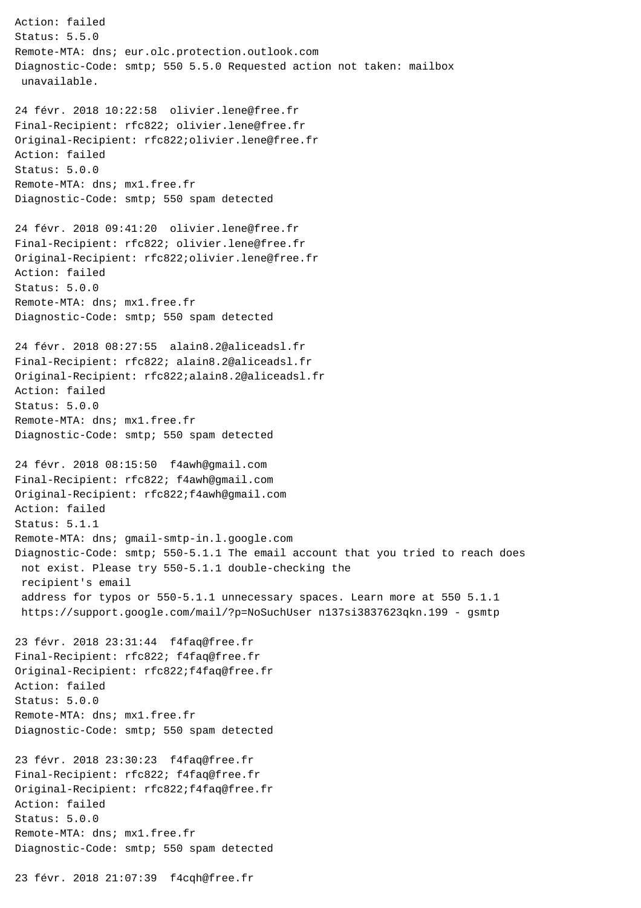Action: failed Status: 5.5.0 Remote-MTA: dns; eur.olc.protection.outlook.com Diagnostic-Code: smtp; 550 5.5.0 Requested action not taken: mailbox unavailable. 24 févr. 2018 10:22:58 olivier.lene@free.fr Final-Recipient: rfc822; olivier.lene@free.fr Original-Recipient: rfc822;olivier.lene@free.fr Action: failed Status: 5.0.0 Remote-MTA: dns; mx1.free.fr Diagnostic-Code: smtp; 550 spam detected 24 févr. 2018 09:41:20 olivier.lene@free.fr Final-Recipient: rfc822; olivier.lene@free.fr Original-Recipient: rfc822;olivier.lene@free.fr Action: failed Status: 5.0.0 Remote-MTA: dns; mx1.free.fr Diagnostic-Code: smtp; 550 spam detected 24 févr. 2018 08:27:55 alain8.2@aliceadsl.fr Final-Recipient: rfc822; alain8.2@aliceadsl.fr Original-Recipient: rfc822;alain8.2@aliceadsl.fr Action: failed Status: 5.0.0 Remote-MTA: dns; mx1.free.fr Diagnostic-Code: smtp; 550 spam detected 24 févr. 2018 08:15:50 f4awh@gmail.com Final-Recipient: rfc822; f4awh@gmail.com Original-Recipient: rfc822;f4awh@gmail.com Action: failed Status: 5.1.1 Remote-MTA: dns; gmail-smtp-in.l.google.com Diagnostic-Code: smtp; 550-5.1.1 The email account that you tried to reach does not exist. Please try 550-5.1.1 double-checking the recipient's email address for typos or 550-5.1.1 unnecessary spaces. Learn more at 550 5.1.1 https://support.google.com/mail/?p=NoSuchUser n137si3837623qkn.199 - gsmtp 23 févr. 2018 23:31:44 f4faq@free.fr Final-Recipient: rfc822; f4faq@free.fr Original-Recipient: rfc822;f4faq@free.fr Action: failed Status: 5.0.0 Remote-MTA: dns; mx1.free.fr Diagnostic-Code: smtp; 550 spam detected 23 févr. 2018 23:30:23 f4faq@free.fr Final-Recipient: rfc822; f4faq@free.fr Original-Recipient: rfc822;f4faq@free.fr Action: failed Status: 5.0.0 Remote-MTA: dns; mx1.free.fr Diagnostic-Code: smtp; 550 spam detected

23 févr. 2018 21:07:39 f4cqh@free.fr